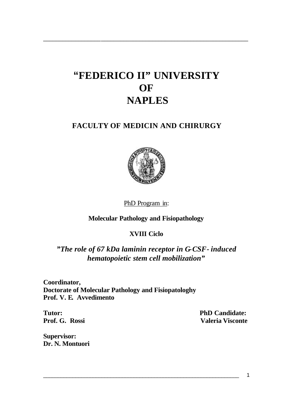## **"FEDERICO II" UNIVERSITY OF NAPLES**

\_\_\_\_\_\_\_\_\_\_\_\_\_\_\_\_\_\_\_\_\_\_\_\_\_\_\_\_\_\_\_\_\_\_\_\_\_\_\_\_\_\_\_\_\_\_\_\_\_\_\_\_\_\_\_\_\_\_\_\_\_\_\_\_

## **FACULTY OF MEDICIN AND CHIRURGY**



PhD Program in:

**Molecular Pathology and Fisiopathology**

## **XVIII Ciclo**

*"The role of 67 kDa laminin receptor in G-CSF- induced hematopoietic stem cell mobilization"*

**Coordinator, Doctorate of Molecular Pathology and Fisiopatologhy Prof. V. E. Avvedimento**

**Tutor: PhD Candidate:** Prof. G. Rossi **Valeria Visconte** 

**Supervisor: Dr. N. Montuori**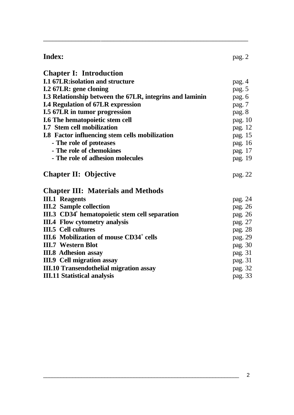| <b>Index:</b>                                              | pag. 2  |
|------------------------------------------------------------|---------|
| <b>Chapter I: Introduction</b>                             |         |
| <b>I.1 67LR: isolation and structure</b>                   | pag. 4  |
| I.2 67LR: gene cloning                                     | pag. 5  |
| I.3 Relationship between the 67LR, integrins and laminin   | pag. 6  |
| <b>I.4 Regulation of 67LR expression</b>                   | pag. 7  |
| <b>I.5 67LR in tumor progression</b>                       | pag. 8  |
| I.6 The hematopoietic stem cell                            | pag. 10 |
| <b>I.7 Stem cell mobilization</b>                          | pag. 12 |
| <b>I.8</b> Factor influencing stem cells mobilization      | pag. 15 |
| - The role of proteases                                    | pag. 16 |
| - The role of chemokines                                   | pag. 17 |
| - The role of adhesion molecules                           | pag. 19 |
| <b>Chapter II: Objective</b>                               | pag. 22 |
| <b>Chapter III: Materials and Methods</b>                  |         |
| <b>III.1 Reagents</b>                                      | pag. 24 |
| <b>III.2 Sample collection</b>                             | pag. 26 |
| III.3 CD34 <sup>+</sup> hematopoietic stem cell separation | pag. 26 |
| <b>III.4 Flow cytometry analysis</b>                       | pag. 27 |
| <b>III.5</b> Cell cultures                                 | pag. 28 |
| III.6 Mobilization of mouse CD34 <sup>+</sup> cells        | pag. 29 |
| <b>III.7 Western Blot</b>                                  | pag. 30 |
| <b>III.8 Adhesion assay</b>                                | pag. 31 |
| III.9 Cell migration assay                                 | pag. 31 |
| <b>III.10 Transendothelial migration assay</b>             | pag. 32 |
| <b>III.11 Statistical analysis</b>                         | pag. 33 |
|                                                            |         |

\_\_\_\_\_\_\_\_\_\_\_\_\_\_\_\_\_\_\_\_\_\_\_\_\_\_\_\_\_\_\_\_\_\_\_\_\_\_\_\_\_\_\_\_\_\_\_\_\_\_\_\_\_\_\_\_\_\_\_\_\_\_\_\_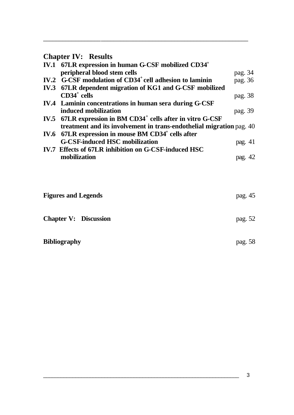## **Chapter IV: Results**

| IV.1 67LR expression in human G-CSF mobilized CD34 <sup>+</sup>         |         |  |
|-------------------------------------------------------------------------|---------|--|
| peripheral blood stem cells                                             | pag. 34 |  |
| IV.2 G-CSF modulation of CD34 <sup>+</sup> cell adhesion to laminin     | pag. 36 |  |
| IV.3 67LR dependent migration of KG1 and G-CSF mobilized                |         |  |
| $CD34^+$ cells                                                          | pag. 38 |  |
| IV.4 Laminin concentrations in human sera during G-CSF                  |         |  |
| induced mobilization                                                    | pag. 39 |  |
| IV.5 67LR expression in BM CD34 <sup>+</sup> cells after in vitro G-CSF |         |  |
| treatment and its involvement in trans-endothelial migration pag. 40    |         |  |
| IV.6 67LR expression in mouse BM CD34 <sup>+</sup> cells after          |         |  |
| <b>G-CSF-induced HSC mobilization</b>                                   | pag. 41 |  |
| IV.7 Effects of 67LR inhibition on G-CSF-induced HSC                    |         |  |
| mobilization                                                            | pag. 42 |  |

\_\_\_\_\_\_\_\_\_\_\_\_\_\_\_\_\_\_\_\_\_\_\_\_\_\_\_\_\_\_\_\_\_\_\_\_\_\_\_\_\_\_\_\_\_\_\_\_\_\_\_\_\_\_\_\_\_\_\_\_\_\_\_\_

| <b>Figures and Legends</b>   | pag. 45 |
|------------------------------|---------|
| <b>Chapter V: Discussion</b> | pag. 52 |
| <b>Bibliography</b>          | pag. 58 |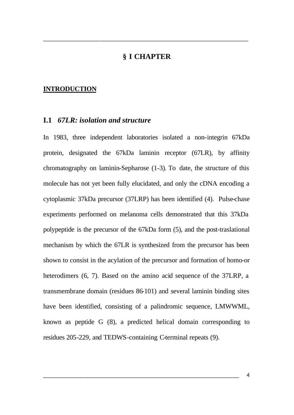## **§ I CHAPTER**

\_\_\_\_\_\_\_\_\_\_\_\_\_\_\_\_\_\_\_\_\_\_\_\_\_\_\_\_\_\_\_\_\_\_\_\_\_\_\_\_\_\_\_\_\_\_\_\_\_\_\_\_\_\_\_\_\_\_\_\_\_\_\_\_

#### **INTRODUCTION**

#### **I.1** *67LR: isolation and structure*

In 1983, three independent laboratories isolated a non-integrin 67kDa protein, designated the 67kDa laminin receptor (67LR), by affinity chromatography on laminin-Sepharose (1-3). To date, the structure of this molecule has not yet been fully elucidated, and only the cDNA encoding a cytoplasmic 37kDa precursor (37LRP) has been identified (4). Pulse-chase experiments performed on melanoma cells demonstrated that this 37kDa polypeptide is the precursor of the 67kDa form (5), and the post-traslational mechanism by which the 67LR is synthesized from the precursor has been shown to consist in the acylation of the precursor and formation of homo-or heterodimers (6, 7). Based on the amino acid sequence of the 37LRP, a transmembrane domain (residues 86-101) and several laminin binding sites have been identified, consisting of a palindromic sequence, LMWWML, known as peptide G (8), a predicted helical domain corresponding to residues 205-229, and TEDWS-containing C-terminal repeats (9).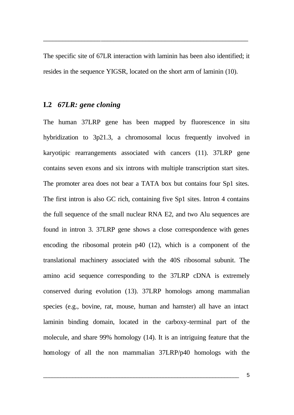The specific site of 67LR interaction with laminin has been also identified; it resides in the sequence YIGSR, located on the short arm of laminin (10).

\_\_\_\_\_\_\_\_\_\_\_\_\_\_\_\_\_\_\_\_\_\_\_\_\_\_\_\_\_\_\_\_\_\_\_\_\_\_\_\_\_\_\_\_\_\_\_\_\_\_\_\_\_\_\_\_\_\_\_\_\_\_\_\_

#### **I.2** *67LR: gene cloning*

The human 37LRP gene has been mapped by fluorescence in situ hybridization to 3p21.3, a chromosomal locus frequently involved in karyotipic rearrangements associated with cancers (11). 37LRP gene contains seven exons and six introns with multiple transcription start sites. The promoter area does not bear a TATA box but contains four Sp1 sites. The first intron is also GC rich, containing five Sp1 sites. Intron 4 contains the full sequence of the small nuclear RNA E2, and two Alu sequences are found in intron 3. 37LRP gene shows a close correspondence with genes encoding the ribosomal protein p40 (12), which is a component of the translational machinery associated with the 40S ribosomal subunit. The amino acid sequence corresponding to the 37LRP cDNA is extremely conserved during evolution (13). 37LRP homologs among mammalian species (e.g., bovine, rat, mouse, human and hamster) all have an intact laminin binding domain, located in the carboxy-terminal part of the molecule, and share 99% homology (14). It is an intriguing feature that the homology of all the non mammalian 37LRP/p40 homologs with the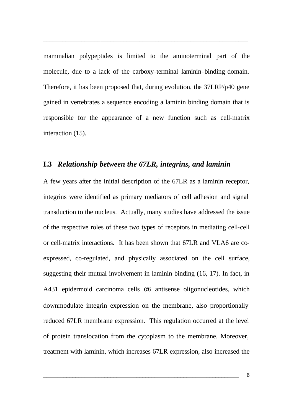mammalian polypeptides is limited to the aminoterminal part of the molecule, due to a lack of the carboxy-terminal laminin-binding domain. Therefore, it has been proposed that, during evolution, the 37LRP/p40 gene gained in vertebrates a sequence encoding a laminin binding domain that is responsible for the appearance of a new function such as cell-matrix interaction (15).

\_\_\_\_\_\_\_\_\_\_\_\_\_\_\_\_\_\_\_\_\_\_\_\_\_\_\_\_\_\_\_\_\_\_\_\_\_\_\_\_\_\_\_\_\_\_\_\_\_\_\_\_\_\_\_\_\_\_\_\_\_\_\_\_

#### **I.3** *Relationship between the 67LR, integrins, and laminin*

A few years after the initial description of the 67LR as a laminin receptor, integrins were identified as primary mediators of cell adhesion and signal transduction to the nucleus. Actually, many studies have addressed the issue of the respective roles of these two types of receptors in mediating cell-cell or cell-matrix interactions. It has been shown that 67LR and VLA6 are coexpressed, co-regulated, and physically associated on the cell surface, suggesting their mutual involvement in laminin binding (16, 17). In fact, in A431 epidermoid carcinoma cells  $\alpha$ 6 antisense oligonucleotides, which downmodulate integrin expression on the membrane, also proportionally reduced 67LR membrane expression. This regulation occurred at the level of protein translocation from the cytoplasm to the membrane. Moreover, treatment with laminin, which increases 67LR expression, also increased the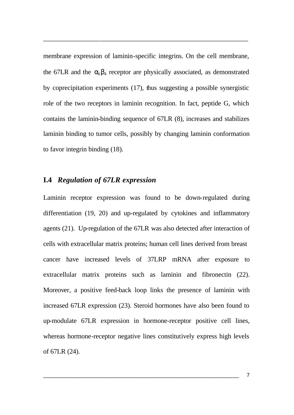membrane expression of laminin-specific integrins. On the cell membrane, the 67LR and the  $\alpha_6\beta_4$  receptor are physically associated, as demonstrated by coprecipitation experiments (17), thus suggesting a possible synergistic role of the two receptors in laminin recognition. In fact, peptide G, which contains the laminin-binding sequence of 67LR (8), increases and stabilizes laminin binding to tumor cells, possibly by changing laminin conformation to favor integrin binding (18).

\_\_\_\_\_\_\_\_\_\_\_\_\_\_\_\_\_\_\_\_\_\_\_\_\_\_\_\_\_\_\_\_\_\_\_\_\_\_\_\_\_\_\_\_\_\_\_\_\_\_\_\_\_\_\_\_\_\_\_\_\_\_\_\_

#### **I.4** *Regulation of 67LR expression*

Laminin receptor expression was found to be down-regulated during differentiation (19, 20) and up-regulated by cytokines and inflammatory agents (21). Up-regulation of the 67LR was also detected after interaction of cells with extracellular matrix proteins; human cell lines derived from breast cancer have increased levels of 37LRP mRNA after exposure to extracellular matrix proteins such as laminin and fibronectin (22). Moreover, a positive feed-back loop links the presence of laminin with increased 67LR expression (23). Steroid hormones have also been found to up-modulate 67LR expression in hormone-receptor positive cell lines, whereas hormone-receptor negative lines constitutively express high levels of 67LR (24).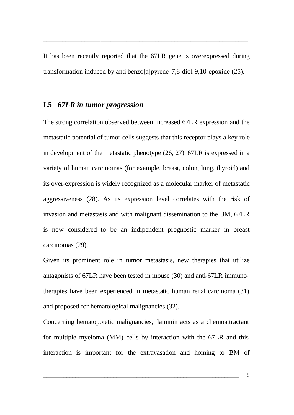It has been recently reported that the 67LR gene is overexpressed during transformation induced by anti-benzo[a]pyrene-7,8-diol-9,10-epoxide (25).

\_\_\_\_\_\_\_\_\_\_\_\_\_\_\_\_\_\_\_\_\_\_\_\_\_\_\_\_\_\_\_\_\_\_\_\_\_\_\_\_\_\_\_\_\_\_\_\_\_\_\_\_\_\_\_\_\_\_\_\_\_\_\_\_

#### **I.5** *67LR in tumor progression*

The strong correlation observed between increased 67LR expression and the metastatic potential of tumor cells suggests that this receptor plays a key role in development of the metastatic phenotype (26, 27). 67LR is expressed in a variety of human carcinomas (for example, breast, colon, lung, thyroid) and its over-expression is widely recognized as a molecular marker of metastatic aggressiveness (28). As its expression level correlates with the risk of invasion and metastasis and with malignant dissemination to the BM, 67LR is now considered to be an indipendent prognostic marker in breast carcinomas (29).

Given its prominent role in tumor metastasis, new therapies that utilize antagonists of 67LR have been tested in mouse (30) and anti-67LR immunotherapies have been experienced in metastatic human renal carcinoma (31) and proposed for hematological malignancies (32).

Concerning hematopoietic malignancies, laminin acts as a chemoattractant for multiple myeloma (MM) cells by interaction with the 67LR and this interaction is important for the extravasation and homing to BM of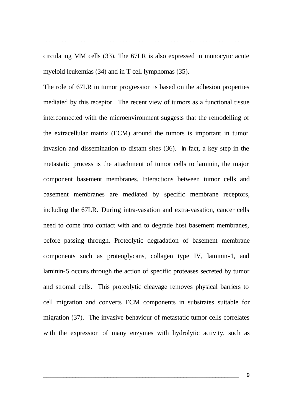circulating MM cells (33). The 67LR is also expressed in monocytic acute myeloid leukemias (34) and in T cell lymphomas (35).

\_\_\_\_\_\_\_\_\_\_\_\_\_\_\_\_\_\_\_\_\_\_\_\_\_\_\_\_\_\_\_\_\_\_\_\_\_\_\_\_\_\_\_\_\_\_\_\_\_\_\_\_\_\_\_\_\_\_\_\_\_\_\_\_

The role of 67LR in tumor progression is based on the adhesion properties mediated by this receptor. The recent view of tumors as a functional tissue interconnected with the microenvironment suggests that the remodelling of the extracellular matrix (ECM) around the tumors is important in tumor invasion and dissemination to distant sites (36). In fact, a key step in the metastatic process is the attachment of tumor cells to laminin, the major component basement membranes. Interactions between tumor cells and basement membranes are mediated by specific membrane receptors, including the 67LR. During intra-vasation and extra-vasation, cancer cells need to come into contact with and to degrade host basement membranes, before passing through. Proteolytic degradation of basement membrane components such as proteoglycans, collagen type IV, laminin-1, and laminin-5 occurs through the action of specific proteases secreted by tumor and stromal cells. This proteolytic cleavage removes physical barriers to cell migration and converts ECM components in substrates suitable for migration (37). The invasive behaviour of metastatic tumor cells correlates with the expression of many enzymes with hydrolytic activity, such as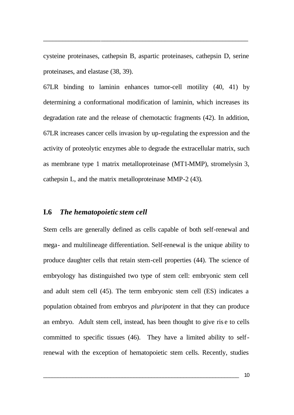cysteine proteinases, cathepsin B, aspartic proteinases, cathepsin D, serine proteinases, and elastase (38, 39).

\_\_\_\_\_\_\_\_\_\_\_\_\_\_\_\_\_\_\_\_\_\_\_\_\_\_\_\_\_\_\_\_\_\_\_\_\_\_\_\_\_\_\_\_\_\_\_\_\_\_\_\_\_\_\_\_\_\_\_\_\_\_\_\_

67LR binding to laminin enhances tumor-cell motility (40, 41) by determining a conformational modification of laminin, which increases its degradation rate and the release of chemotactic fragments (42). In addition, 67LR increases cancer cells invasion by up-regulating the expression and the activity of proteolytic enzymes able to degrade the extracellular matrix, such as membrane type 1 matrix metalloproteinase (MT1-MMP), stromelysin 3, cathepsin L, and the matrix metalloproteinase MMP-2 (43).

#### **I.6** *The hematopoietic stem cell*

Stem cells are generally defined as cells capable of both self-renewal and mega- and multilineage differentiation. Self-renewal is the unique ability to produce daughter cells that retain stem-cell properties (44). The science of embryology has distinguished two type of stem cell: embryonic stem cell and adult stem cell (45). The term embryonic stem cell (ES) indicates a population obtained from embryos and *pluripotent* in that they can produce an embryo. Adult stem cell, instead, has been thought to give ris e to cells committed to specific tissues (46). They have a limited ability to selfrenewal with the exception of hematopoietic stem cells. Recently, studies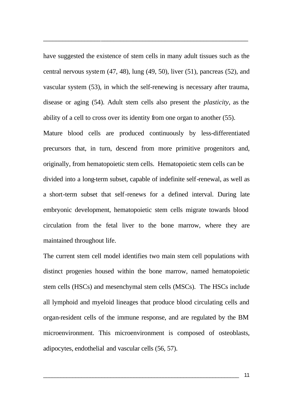have suggested the existence of stem cells in many adult tissues such as the central nervous system (47, 48), lung (49, 50), liver (51), pancreas (52), and vascular system (53), in which the self-renewing is necessary after trauma, disease or aging (54). Adult stem cells also present the *plasticity,* as the ability of a cell to cross over its identity from one organ to another (55).

\_\_\_\_\_\_\_\_\_\_\_\_\_\_\_\_\_\_\_\_\_\_\_\_\_\_\_\_\_\_\_\_\_\_\_\_\_\_\_\_\_\_\_\_\_\_\_\_\_\_\_\_\_\_\_\_\_\_\_\_\_\_\_\_

Mature blood cells are produced continuously by less-differentiated precursors that, in turn, descend from more primitive progenitors and, originally, from hematopoietic stem cells. Hematopoietic stem cells can be divided into a long-term subset, capable of indefinite self-renewal, as well as a short-term subset that self-renews for a defined interval. During late embryonic development, hematopoietic stem cells migrate towards blood circulation from the fetal liver to the bone marrow, where they are maintained throughout life.

The current stem cell model identifies two main stem cell populations with distinct progenies housed within the bone marrow, named hematopoietic stem cells (HSCs) and mesenchymal stem cells (MSCs). The HSCs include all lymphoid and myeloid lineages that produce blood circulating cells and organ-resident cells of the immune response, and are regulated by the BM microenvironment. This microenvironment is composed of osteoblasts, adipocytes, endothelial and vascular cells (56, 57).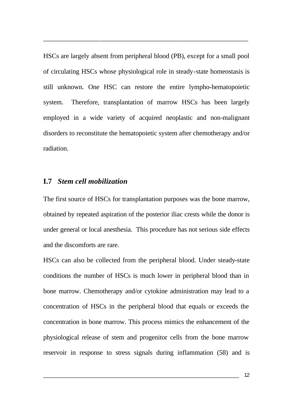HSCs are largely absent from peripheral blood (PB), except for a small pool of circulating HSCs whose physiological role in steady-state homeostasis is still unknown. One HSC can restore the entire lympho-hematopoietic system. Therefore, transplantation of marrow HSCs has been largely employed in a wide variety of acquired neoplastic and non-malignant disorders to reconstitute the hematopoietic system after chemotherapy and/or radiation.

\_\_\_\_\_\_\_\_\_\_\_\_\_\_\_\_\_\_\_\_\_\_\_\_\_\_\_\_\_\_\_\_\_\_\_\_\_\_\_\_\_\_\_\_\_\_\_\_\_\_\_\_\_\_\_\_\_\_\_\_\_\_\_\_

#### **I.7** *Stem cell mobilization*

The first source of HSCs for transplantation purposes was the bone marrow, obtained by repeated aspiration of the posterior iliac crests while the donor is under general or local anesthesia. This procedure has not serious side effects and the discomforts are rare.

HSCs can also be collected from the peripheral blood. Under steady-state conditions the number of HSCs is much lower in peripheral blood than in bone marrow. Chemotherapy and/or cytokine administration may lead to a concentration of HSCs in the peripheral blood that equals or exceeds the concentration in bone marrow. This process mimics the enhancement of the physiological release of stem and progenitor cells from the bone marrow reservoir in response to stress signals during inflammation (58) and is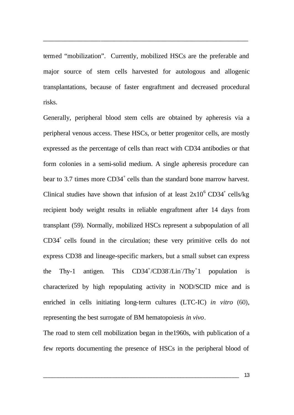termed "mobilization". Currently, mobilized HSCs are the preferable and major source of stem cells harvested for autologous and allogenic transplantations, because of faster engraftment and decreased procedural risks.

\_\_\_\_\_\_\_\_\_\_\_\_\_\_\_\_\_\_\_\_\_\_\_\_\_\_\_\_\_\_\_\_\_\_\_\_\_\_\_\_\_\_\_\_\_\_\_\_\_\_\_\_\_\_\_\_\_\_\_\_\_\_\_\_

Generally, peripheral blood stem cells are obtained by apheresis via a peripheral venous access. These HSCs, or better progenitor cells, are mostly expressed as the percentage of cells than react with CD34 antibodies or that form colonies in a semi-solid medium. A single apheresis procedure can bear to 3.7 times more  $CD34^+$  cells than the standard bone marrow harvest. Clinical studies have shown that infusion of at least  $2x10^6$  CD34<sup>+</sup> cells/kg recipient body weight results in reliable engraftment after 14 days from transplant (59). Normally, mobilized HSCs represent a subpopulation of all  $CD34<sup>+</sup>$  cells found in the circulation; these very primitive cells do not express CD38 and lineage-specific markers, but a small subset can express the Thy-1 antigen. This /CD38- /Lin- /Thy<sup>+</sup> 1 population is characterized by high repopulating activity in NOD/SCID mice and is enriched in cells initiating long-term cultures (LTC-IC) *in vitro* (60), representing the best surrogate of BM hematopoiesis *in vivo*.

The road to stem cell mobilization began in the1960s, with publication of a few reports documenting the presence of HSCs in the peripheral blood of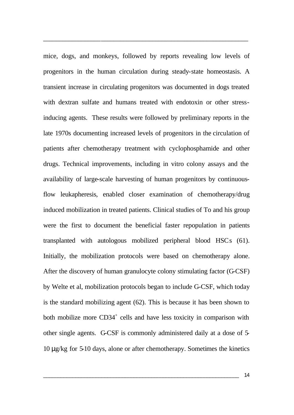mice, dogs, and monkeys, followed by reports revealing low levels of progenitors in the human circulation during steady-state homeostasis. A transient increase in circulating progenitors was documented in dogs treated with dextran sulfate and humans treated with endotoxin or other stressinducing agents. These results were followed by preliminary reports in the late 1970s documenting increased levels of progenitors in the circulation of patients after chemotherapy treatment with cyclophosphamide and other drugs. Technical improvements, including in vitro colony assays and the availability of large-scale harvesting of human progenitors by continuousflow leukapheresis, enabled closer examination of chemotherapy/drug induced mobilization in treated patients. Clinical studies of To and his group were the first to document the beneficial faster repopulation in patients transplanted with autologous mobilized peripheral blood HSCs (61). Initially, the mobilization protocols were based on chemotherapy alone. After the discovery of human granulocyte colony stimulating factor (G-CSF) by Welte et al, mobilization protocols began to include G-CSF, which today is the standard mobilizing agent (62). This is because it has been shown to both mobilize more CD34<sup>+</sup> cells and have less toxicity in comparison with other single agents. G-CSF is commonly administered daily at a dose of 5- 10 μg/kg for 5-10 days, alone or after chemotherapy. Sometimes the kinetics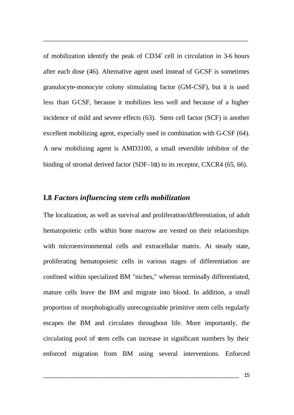of mobilization identify the peak of  $CD34<sup>+</sup>$  cell in circulation in 3-6 hours after each dose (46). Alternative agent used instead of G-CSF is sometimes granulocyte-monocyte colony stimulating factor (GM-CSF), but it is used less than GCSF, because it mobilizes less well and because of a higher incidence of mild and severe effects (63). Stem cell factor (SCF) is another excellent mobilizing agent, expecially used in combination with G-CSF (64). A new mobilizing agent is AMD3100, a small reversible inhibitor of the binding of stromal derived factor (SDF-1 $\alpha$ ) to its receptor, CXCR4 (65, 66).

\_\_\_\_\_\_\_\_\_\_\_\_\_\_\_\_\_\_\_\_\_\_\_\_\_\_\_\_\_\_\_\_\_\_\_\_\_\_\_\_\_\_\_\_\_\_\_\_\_\_\_\_\_\_\_\_\_\_\_\_\_\_\_\_

## **I.8** *Factors influencing stem cells mobilization*

The localization, as well as survival and proliferation/differentiation, of adult hematopoietic cells within bone marrow are vested on their relationships with microenvironmental cells and extracellular matrix. At steady state, proliferating hematopoietic cells in various stages of differentiation are confined within specialized BM "niches," whereas terminally differentiated, mature cells leave the BM and migrate into blood. In addition, a small proportion of morphologically unrecognizable primitive stem cells regularly escapes the BM and circulates throughout life. More importantly, the circulating pool of stem cells can increase in significant numbers by their enforced migration from BM using several interventions. Enforced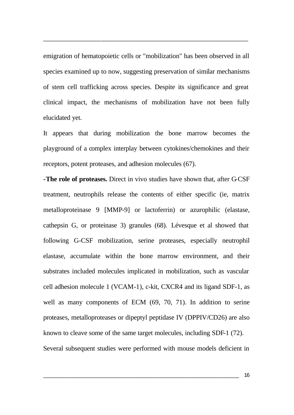emigration of hematopoietic cells or "mobilization" has been observed in all species examined up to now, suggesting preservation of similar mechanisms of stem cell trafficking across species. Despite its significance and great clinical impact, the mechanisms of mobilization have not been fully elucidated yet.

\_\_\_\_\_\_\_\_\_\_\_\_\_\_\_\_\_\_\_\_\_\_\_\_\_\_\_\_\_\_\_\_\_\_\_\_\_\_\_\_\_\_\_\_\_\_\_\_\_\_\_\_\_\_\_\_\_\_\_\_\_\_\_\_

It appears that during mobilization the bone marrow becomes the playground of a complex interplay between cytokines/chemokines and their receptors, potent proteases, and adhesion molecules (67).

**-The role of proteases.** Direct in vivo studies have shown that, after G-CSF treatment, neutrophils release the contents of either specific (ie, matrix metalloproteinase 9 [MMP-9] or lactoferrin) or azurophilic (elastase, cathepsin G, or proteinase 3) granules (68). Lévesque et al showed that following G-CSF mobilization, serine proteases, especially neutrophil elastase, accumulate within the bone marrow environment, and their substrates included molecules implicated in mobilization, such as vascular cell adhesion molecule 1 (VCAM-1), c-kit, CXCR4 and its ligand SDF-1, as well as many components of ECM (69, 70, 71). In addition to serine proteases, metalloproteases or dipeptyl peptidase IV (DPPIV/CD26) are also known to cleave some of the same target molecules, including SDF-1 (72). Several subsequent studies were performed with mouse models deficient in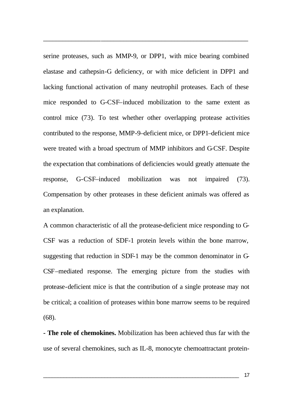serine proteases, such as MMP-9, or DPP1, with mice bearing combined elastase and cathepsin-G deficiency, or with mice deficient in DPP1 and lacking functional activation of many neutrophil proteases. Each of these mice responded to G-CSF–induced mobilization to the same extent as control mice (73). To test whether other overlapping protease activities contributed to the response, MMP-9–deficient mice, or DPP1–deficient mice were treated with a broad spectrum of MMP inhibitors and G-CSF. Despite the expectation that combinations of deficiencies would greatly attenuate the response, G-CSF–induced mobilization was not impaired (73). Compensation by other proteases in these deficient animals was offered as an explanation.

\_\_\_\_\_\_\_\_\_\_\_\_\_\_\_\_\_\_\_\_\_\_\_\_\_\_\_\_\_\_\_\_\_\_\_\_\_\_\_\_\_\_\_\_\_\_\_\_\_\_\_\_\_\_\_\_\_\_\_\_\_\_\_\_

A common characteristic of all the protease-deficient mice responding to G-CSF was a reduction of SDF-1 protein levels within the bone marrow, suggesting that reduction in SDF-1 may be the common denominator in G-CSF–mediated response. The emerging picture from the studies with protease-deficient mice is that the contribution of a single protease may not be critical; a coalition of proteases within bone marrow seems to be required (68).

**- The role of chemokines.** Mobilization has been achieved thus far with the use of several chemokines, such as IL-8, monocyte chemoattractant protein-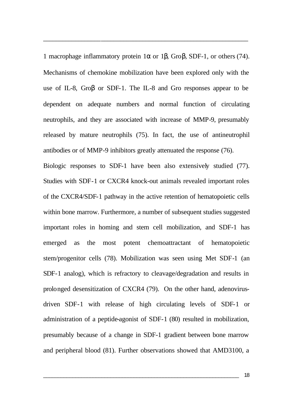1 macrophage inflammatory protein 1α or 1β, Groβ, SDF-1, or others (74). Mechanisms of chemokine mobilization have been explored only with the use of IL-8, Groβ or SDF-1. The IL-8 and Gro responses appear to be dependent on adequate numbers and normal function of circulating neutrophils, and they are associated with increase of MMP-9, presumably released by mature neutrophils (75). In fact, the use of antineutrophil antibodies or of MMP-9 inhibitors greatly attenuated the response (76).

\_\_\_\_\_\_\_\_\_\_\_\_\_\_\_\_\_\_\_\_\_\_\_\_\_\_\_\_\_\_\_\_\_\_\_\_\_\_\_\_\_\_\_\_\_\_\_\_\_\_\_\_\_\_\_\_\_\_\_\_\_\_\_\_

Biologic responses to SDF-1 have been also extensively studied (77). Studies with SDF-1 or CXCR4 knock-out animals revealed important roles of the CXCR4/SDF-1 pathway in the active retention of hematopoietic cells within bone marrow. Furthermore, a number of subsequent studies suggested important roles in homing and stem cell mobilization, and SDF-1 has emerged as the most potent chemoattractant of hematopoietic stem/progenitor cells (78). Mobilization was seen using Met SDF-1 (an SDF-1 analog), which is refractory to cleavage/degradation and results in prolonged desensitization of CXCR4 (79). On the other hand, adenovirusdriven SDF-1 with release of high circulating levels of SDF-1 or administration of a peptide-agonist of SDF-1 (80) resulted in mobilization, presumably because of a change in SDF-1 gradient between bone marrow and peripheral blood (81). Further observations showed that AMD3100, a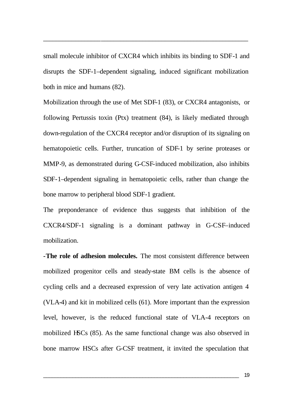small molecule inhibitor of CXCR4 which inhibits its binding to SDF-1 and disrupts the SDF-1–dependent signaling, induced significant mobilization both in mice and humans (82).

\_\_\_\_\_\_\_\_\_\_\_\_\_\_\_\_\_\_\_\_\_\_\_\_\_\_\_\_\_\_\_\_\_\_\_\_\_\_\_\_\_\_\_\_\_\_\_\_\_\_\_\_\_\_\_\_\_\_\_\_\_\_\_\_

Mobilization through the use of Met SDF-1 (83), or CXCR4 antagonists, or following Pertussis toxin (Ptx) treatment (84), is likely mediated through down-regulation of the CXCR4 receptor and/or disruption of its signaling on hematopoietic cells. Further, truncation of SDF-1 by serine proteases or MMP-9, as demonstrated during G-CSF-induced mobilization, also inhibits SDF-1–dependent signaling in hematopoietic cells, rather than change the bone marrow to peripheral blood SDF-1 gradient.

The preponderance of evidence thus suggests that inhibition of the CXCR4/SDF-1 signaling is a dominant pathway in G-CSF–induced mobilization.

**-The role of adhesion molecules.** The most consistent difference between mobilized progenitor cells and steady-state BM cells is the absence of cycling cells and a decreased expression of very late activation antigen 4 (VLA-4) and kit in mobilized cells (61). More important than the expression level, however, is the reduced functional state of VLA-4 receptors on mobilized HSCs (85). As the same functional change was also observed in bone marrow HSCs after G-CSF treatment, it invited the speculation that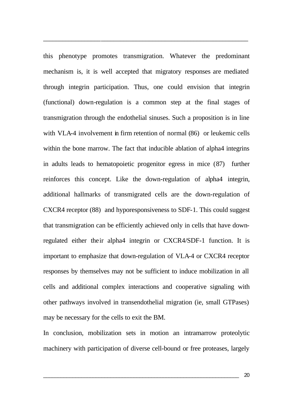this phenotype promotes transmigration. Whatever the predominant mechanism is, it is well accepted that migratory responses are mediated through integrin participation. Thus, one could envision that integrin (functional) down-regulation is a common step at the final stages of transmigration through the endothelial sinuses. Such a proposition is in line with VLA-4 involvement in firm retention of normal (86) or leukemic cells within the bone marrow. The fact that inducible ablation of alpha4 integrins in adults leads to hematopoietic progenitor egress in mice (87) further reinforces this concept. Like the down-regulation of alpha4 integrin, additional hallmarks of transmigrated cells are the down-regulation of CXCR4 receptor (88) and hyporesponsiveness to SDF-1. This could suggest that transmigration can be efficiently achieved only in cells that have downregulated either their alpha4 integrin or CXCR4/SDF-1 function. It is important to emphasize that down-regulation of VLA-4 or CXCR4 receptor responses by themselves may not be sufficient to induce mobilization in all cells and additional complex interactions and cooperative signaling with other pathways involved in transendothelial migration (ie, small GTPases) may be necessary for the cells to exit the BM.

\_\_\_\_\_\_\_\_\_\_\_\_\_\_\_\_\_\_\_\_\_\_\_\_\_\_\_\_\_\_\_\_\_\_\_\_\_\_\_\_\_\_\_\_\_\_\_\_\_\_\_\_\_\_\_\_\_\_\_\_\_\_\_\_

In conclusion, mobilization sets in motion an intramarrow proteolytic machinery with participation of diverse cell-bound or free proteases, largely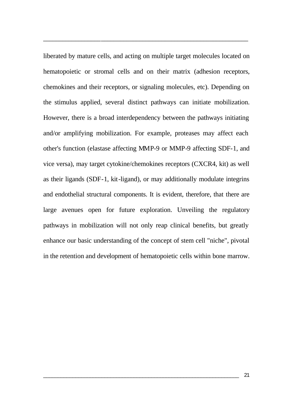liberated by mature cells, and acting on multiple target molecules located on hematopoietic or stromal cells and on their matrix (adhesion receptors, chemokines and their receptors, or signaling molecules, etc). Depending on the stimulus applied, several distinct pathways can initiate mobilization. However, there is a broad interdependency between the pathways initiating and/or amplifying mobilization. For example, proteases may affect each other's function (elastase affecting MMP-9 or MMP-9 affecting SDF-1, and vice versa), may target cytokine/chemokines receptors (CXCR4, kit) as well as their ligands (SDF-1, kit-ligand), or may additionally modulate integrins and endothelial structural components. It is evident, therefore, that there are large avenues open for future exploration. Unveiling the regulatory pathways in mobilization will not only reap clinical benefits, but greatly enhance our basic understanding of the concept of stem cell "niche", pivotal in the retention and development of hematopoietic cells within bone marrow.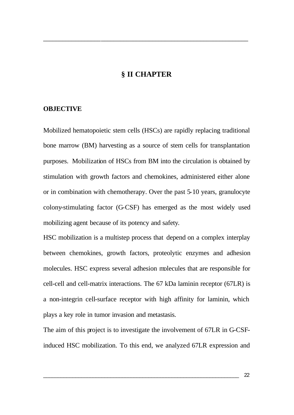#### **§ II CHAPTER**

\_\_\_\_\_\_\_\_\_\_\_\_\_\_\_\_\_\_\_\_\_\_\_\_\_\_\_\_\_\_\_\_\_\_\_\_\_\_\_\_\_\_\_\_\_\_\_\_\_\_\_\_\_\_\_\_\_\_\_\_\_\_\_\_

#### **OBJECTIVE**

Mobilized hematopoietic stem cells (HSCs) are rapidly replacing traditional bone marrow (BM) harvesting as a source of stem cells for transplantation purposes. Mobilization of HSCs from BM into the circulation is obtained by stimulation with growth factors and chemokines, administered either alone or in combination with chemotherapy. Over the past 5-10 years, granulocyte colony-stimulating factor (G-CSF) has emerged as the most widely used mobilizing agent because of its potency and safety.

HSC mobilization is a multistep process that depend on a complex interplay between chemokines, growth factors, proteolytic enzymes and adhesion molecules. HSC express several adhesion molecules that are responsible for cell-cell and cell-matrix interactions. The 67 kDa laminin receptor (67LR) is a non-integrin cell-surface receptor with high affinity for laminin, which plays a key role in tumor invasion and metastasis.

The aim of this project is to investigate the involvement of 67LR in G-CSFinduced HSC mobilization. To this end, we analyzed 67LR expression and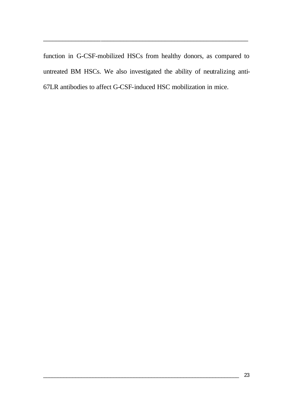function in G-CSF-mobilized HSCs from healthy donors, as compared to untreated BM HSCs. We also investigated the ability of neutralizing anti-67LR antibodies to affect G-CSF-induced HSC mobilization in mice.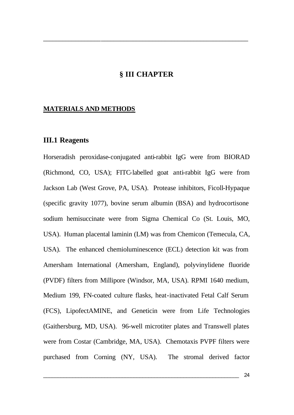#### **§ III CHAPTER**

\_\_\_\_\_\_\_\_\_\_\_\_\_\_\_\_\_\_\_\_\_\_\_\_\_\_\_\_\_\_\_\_\_\_\_\_\_\_\_\_\_\_\_\_\_\_\_\_\_\_\_\_\_\_\_\_\_\_\_\_\_\_\_\_

#### **MATERIALS AND METHODS**

#### **III.1 Reagents**

Horseradish peroxidase-conjugated anti-rabbit IgG were from BIORAD (Richmond, CO, USA); FITC-labelled goat anti-rabbit IgG were from Jackson Lab (West Grove, PA, USA). Protease inhibitors, Ficoll-Hypaque (specific gravity 1077), bovine serum albumin (BSA) and hydrocortisone sodium hemisuccinate were from Sigma Chemical Co (St. Louis, MO, USA). Human placental laminin (LM) was from Chemicon (Temecula, CA, USA). The enhanced chemioluminescence (ECL) detection kit was from Amersham International (Amersham, England), polyvinylidene fluoride (PVDF) filters from Millipore (Windsor, MA, USA). RPMI 1640 medium, Medium 199, FN-coated culture flasks, heat-inactivated Fetal Calf Serum (FCS), LipofectAMINE, and Geneticin were from Life Technologies (Gaithersburg, MD, USA). 96-well microtiter plates and Transwell plates were from Costar (Cambridge, MA, USA). Chemotaxis PVPF filters were purchased from Corning (NY, USA). The stromal derived factor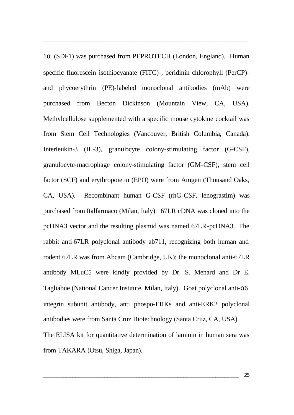1α (SDF1) was purchased from PEPROTECH (London, England). Human specific fluorescein isothiocyanate (FITC)-, peridinin chlorophyll (PerCP) and phycoerythrin (PE)-labeled monoclonal antibodies (mAb) were purchased from Becton Dickinson (Mountain View, CA, USA). Methylcellulose supplemented with a specific mouse cytokine cocktail was from Stem Cell Technologies (Vancouver, British Columbia, Canada). Interleukin-3 (IL-3), granulocyte colony-stimulating factor (G-CSF), granulocyte-macrophage colony-stimulating factor (GM-CSF), stem cell factor (SCF) and erythropoietin (EPO) were from Amgen (Thousand Oaks, CA, USA). Recombinant human G-CSF (rhG-CSF, lenograstim) was purchased from Italfarmaco (Milan, Italy). 67LR cDNA was cloned into the pcDNA3 vector and the resulting plasmid was named 67LR-pcDNA3. The rabbit anti-67LR polyclonal antibody ab711, recognizing both human and rodent 67LR was from Abcam (Cambridge, UK); the monoclonal anti-67LR antibody MLuC5 were kindly provided by Dr. S. Menard and Dr E. Tagliabue (National Cancer Institute, Milan, Italy). Goat polyclonal anti-α6 integrin subunit antibody, anti phospo-ERKs and anti-ERK2 polyclonal antibodies were from Santa Cruz Biotechnology (Santa Cruz, CA, USA). The ELISA kit for quantitative determination of laminin in human sera was from TAKARA (Otsu, Shiga, Japan).

\_\_\_\_\_\_\_\_\_\_\_\_\_\_\_\_\_\_\_\_\_\_\_\_\_\_\_\_\_\_\_\_\_\_\_\_\_\_\_\_\_\_\_\_\_\_\_\_\_\_\_\_\_\_\_\_\_\_\_\_\_\_\_\_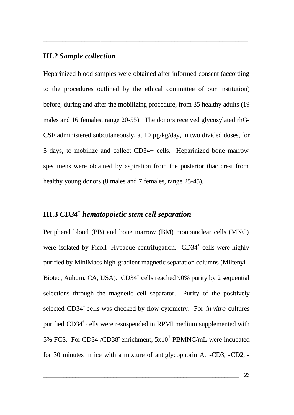#### **III.2** *Sample collection*

Heparinized blood samples were obtained after informed consent (according to the procedures outlined by the ethical committee of our institution) before, during and after the mobilizing procedure, from 35 healthy adults (19 males and 16 females, range 20-55). The donors received glycosylated rhG-CSF administered subcutaneously, at 10 µg/kg/day, in two divided doses, for 5 days, to mobilize and collect CD34+ cells. Heparinized bone marrow specimens were obtained by aspiration from the posterior iliac crest from healthy young donors (8 males and 7 females, range 25-45).

\_\_\_\_\_\_\_\_\_\_\_\_\_\_\_\_\_\_\_\_\_\_\_\_\_\_\_\_\_\_\_\_\_\_\_\_\_\_\_\_\_\_\_\_\_\_\_\_\_\_\_\_\_\_\_\_\_\_\_\_\_\_\_\_

## **III.3** *CD34<sup>+</sup>hematopoietic stem cell separation*

Peripheral blood (PB) and bone marrow (BM) mononuclear cells (MNC) were isolated by Ficoll- Hypaque centrifugation. CD34<sup>+</sup> cells were highly purified by MiniMacs high-gradient magnetic separation columns (Miltenyi Biotec, Auburn, CA, USA).  $CD34^+$  cells reached 90% purity by 2 sequential selections through the magnetic cell separator. Purity of the positively selected CD34<sup>+</sup> cells was checked by flow cytometry. For *in vitro* cultures purified CD34<sup>+</sup> cells were resuspended in RPMI medium supplemented with 5% FCS. For CD34<sup>+</sup>/CD38 enrichment,  $5x10^7$  PBMNC/mL were incubated for 30 minutes in ice with a mixture of antiglycophorin A, -CD3, -CD2, -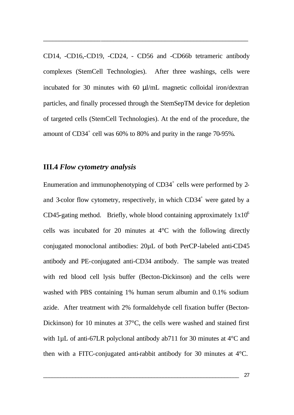CD14, -CD16,-CD19, -CD24, - CD56 and -CD66b tetrameric antibody complexes (StemCell Technologies). After three washings, cells were incubated for 30 minutes with 60 μl/mL magnetic colloidal iron/dextran particles, and finally processed through the StemSepTM device for depletion of targeted cells (StemCell Technologies). At the end of the procedure, the amount of  $CD34^+$  cell was 60% to 80% and purity in the range 70-95%.

\_\_\_\_\_\_\_\_\_\_\_\_\_\_\_\_\_\_\_\_\_\_\_\_\_\_\_\_\_\_\_\_\_\_\_\_\_\_\_\_\_\_\_\_\_\_\_\_\_\_\_\_\_\_\_\_\_\_\_\_\_\_\_\_

### **III.4** *Flow cytometry analysis*

Enumeration and immunophenotyping of  $CD34^+$  cells were performed by 2and 3-color flow cytometry, respectively, in which  $CD34<sup>+</sup>$  were gated by a CD45-gating method. Briefly, whole blood containing approximately  $1x10^6$ cells was incubated for 20 minutes at 4°C with the following directly conjugated monoclonal antibodies: 20µL of both PerCP-labeled anti-CD45 antibody and PE-conjugated anti-CD34 antibody. The sample was treated with red blood cell lysis buffer (Becton-Dickinson) and the cells were washed with PBS containing 1% human serum albumin and 0.1% sodium azide. After treatment with 2% formaldehyde cell fixation buffer (Becton-Dickinson) for 10 minutes at 37°C, the cells were washed and stained first with 1uL of anti-67LR polyclonal antibody ab711 for 30 minutes at 4<sup>o</sup>C and then with a FITC-conjugated anti-rabbit antibody for 30 minutes at 4°C.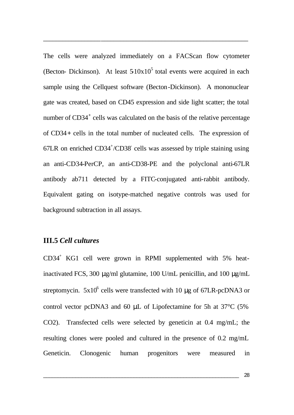The cells were analyzed immediately on a FACScan flow cytometer (Becton- Dickinson). At least  $510x10<sup>5</sup>$  total events were acquired in each sample using the Cellquest software (Becton-Dickinson). A mononuclear gate was created, based on CD45 expression and side light scatter; the total number of CD34<sup>+</sup> cells was calculated on the basis of the relative percentage of CD34**+** cells in the total number of nucleated cells. The expression of 67LR on enriched CD34<sup>+</sup>/CD38 cells was assessed by triple staining using an anti-CD34-PerCP, an anti-CD38-PE and the polyclonal anti-67LR antibody ab711 detected by a FITC-conjugated anti-rabbit antibody. Equivalent gating on isotype-matched negative controls was used for background subtraction in all assays.

\_\_\_\_\_\_\_\_\_\_\_\_\_\_\_\_\_\_\_\_\_\_\_\_\_\_\_\_\_\_\_\_\_\_\_\_\_\_\_\_\_\_\_\_\_\_\_\_\_\_\_\_\_\_\_\_\_\_\_\_\_\_\_\_

## **III.5** *Cell cultures*

CD34<sup>+</sup> KG1 cell were grown in RPMI supplemented with 5% heatinactivated FCS, 300 μg/ml glutamine, 100 U/mL penicillin, and 100 μg/mL streptomycin.  $5x10^6$  cells were transfected with 10 µg of 67LR-pcDNA3 or control vector pcDNA3 and 60 μL of Lipofectamine for 5h at 37°C (5% CO2). Transfected cells were selected by geneticin at 0.4 mg/mL; the resulting clones were pooled and cultured in the presence of 0.2 mg/mL Geneticin. Clonogenic human progenitors were measured in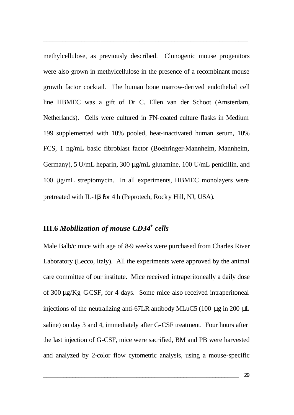methylcellulose, as previously described. Clonogenic mouse progenitors were also grown in methylcellulose in the presence of a recombinant mouse growth factor cocktail. The human bone marrow-derived endothelial cell line HBMEC was a gift of Dr C. Ellen van der Schoot (Amsterdam, Netherlands). Cells were cultured in FN-coated culture flasks in Medium 199 supplemented with 10% pooled, heat-inactivated human serum, 10% FCS, 1 ng/mL basic fibroblast factor (Boehringer-Mannheim, Mannheim, Germany), 5 U/mL heparin, 300 μg/mL glutamine, 100 U/mL penicillin, and 100 μg/mL streptomycin. In all experiments, HBMEC monolayers were pretreated with IL-1 $\beta$  for 4 h (Peprotech, Rock y Hill, NJ, USA).

\_\_\_\_\_\_\_\_\_\_\_\_\_\_\_\_\_\_\_\_\_\_\_\_\_\_\_\_\_\_\_\_\_\_\_\_\_\_\_\_\_\_\_\_\_\_\_\_\_\_\_\_\_\_\_\_\_\_\_\_\_\_\_\_

## **III.6** *Mobilization of mouse CD34<sup>+</sup> cells*

Male Balb/c mice with age of 8-9 weeks were purchased from Charles River Laboratory (Lecco, Italy). All the experiments were approved by the animal care committee of our institute. Mice received intraperitoneally a daily dose of 300  $\mu$ g/Kg GCSF, for 4 days. Some mice also received intraperitoneal injections of the neutralizing anti-67LR antibody MLuC5 (100 μg in 200 μL saline) on day 3 and 4, immediately after G-CSF treatment. Four hours after the last injection of G-CSF, mice were sacrified, BM and PB were harvested and analyzed by 2-color flow cytometric analysis, using a mouse-specific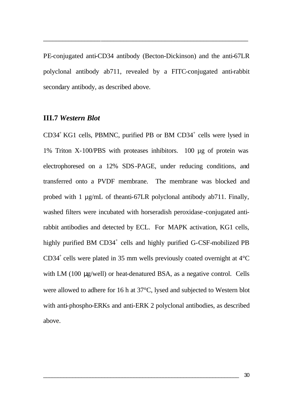PE-conjugated anti-CD34 antibody (Becton-Dickinson) and the anti-67LR polyclonal antibody ab711, revealed by a FITC-conjugated anti-rabbit secondary antibody, as described above.

\_\_\_\_\_\_\_\_\_\_\_\_\_\_\_\_\_\_\_\_\_\_\_\_\_\_\_\_\_\_\_\_\_\_\_\_\_\_\_\_\_\_\_\_\_\_\_\_\_\_\_\_\_\_\_\_\_\_\_\_\_\_\_\_

#### **III.7** *Western Blot*

CD34<sup>+</sup> KG1 cells, PBMNC, purified PB or BM CD34<sup>+</sup> cells were lysed in 1% Triton X-100/PBS with proteases inhibitors. 100 µg of protein was electrophoresed on a 12% SDS-PAGE, under reducing conditions, and transferred onto a PVDF membrane. The membrane was blocked and probed with 1 µg/mL of theanti-67LR polyclonal antibody ab711. Finally, washed filters were incubated with horseradish peroxidase-conjugated antirabbit antibodies and detected by ECL. For MAPK activation, KG1 cells, highly purified BM CD34<sup>+</sup> cells and highly purified G-CSF-mobilized PB  $CD34<sup>+</sup>$  cells were plated in 35 mm wells previously coated overnight at  $4<sup>°</sup>C$ with LM (100 μg/well) or heat-denatured BSA, as a negative control. Cells were allowed to adhere for 16 h at 37°C, lysed and subjected to Western blot with anti-phospho-ERKs and anti-ERK 2 polyclonal antibodies, as described above.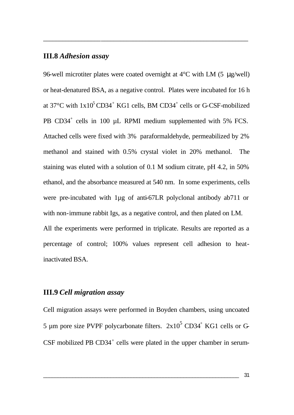#### **III.8** *Adhesion assay*

96-well microtiter plates were coated overnight at  $4^{\circ}$ C with LM (5 µg/well) or heat-denatured BSA, as a negative control. Plates were incubated for 16 h at 37 $^{\circ}$ C with  $1x10^5$ CD34<sup>+</sup> KG1 cells, BM CD34<sup>+</sup> cells or G-CSF-mobilized PB CD34<sup>+</sup> cells in 100 µL RPMI medium supplemented with 5% FCS. Attached cells were fixed with 3% paraformaldehyde, permeabilized by 2% methanol and stained with 0.5% crystal violet in 20% methanol. The staining was eluted with a solution of 0.1 M sodium citrate, pH 4.2, in 50% ethanol, and the absorbance measured at 540 nm. In some experiments, cells were pre-incubated with 1µg of anti-67LR polyclonal antibody ab711 or with non-immune rabbit Igs, as a negative control, and then plated on LM. All the experiments were performed in triplicate. Results are reported as a percentage of control; 100% values represent cell adhesion to heatinactivated BSA.

\_\_\_\_\_\_\_\_\_\_\_\_\_\_\_\_\_\_\_\_\_\_\_\_\_\_\_\_\_\_\_\_\_\_\_\_\_\_\_\_\_\_\_\_\_\_\_\_\_\_\_\_\_\_\_\_\_\_\_\_\_\_\_\_

## **III.9** *Cell migration assay*

Cell migration assays were performed in Boyden chambers, using uncoated 5 µm pore size PVPF polycarbonate filters.  $2x10^5$  CD34<sup>+</sup> KG1 cells or G CSF mobilized PB CD34<sup>+</sup> cells were plated in the upper chamber in serum-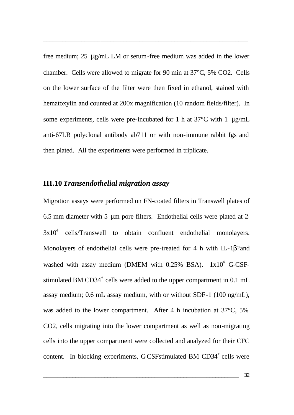free medium; 25 μg/mL LM or serum-free medium was added in the lower chamber. Cells were allowed to migrate for 90 min at 37°C, 5% CO2. Cells on the lower surface of the filter were then fixed in ethanol, stained with hematoxylin and counted at 200x magnification (10 random fields/filter). In some experiments, cells were pre-incubated for 1 h at  $37^{\circ}$ C with 1  $\mu$ g/mL anti-67LR polyclonal antibody ab711 or with non-immune rabbit Igs and then plated. All the experiments were performed in triplicate.

\_\_\_\_\_\_\_\_\_\_\_\_\_\_\_\_\_\_\_\_\_\_\_\_\_\_\_\_\_\_\_\_\_\_\_\_\_\_\_\_\_\_\_\_\_\_\_\_\_\_\_\_\_\_\_\_\_\_\_\_\_\_\_\_

## **III.10** *Transendothelial migration assay*

Migration assays were performed on FN-coated filters in Transwell plates of 6.5 mm diameter with 5 μm pore filters. Endothelial cells were plated at 2-  $3x10<sup>4</sup>$  cells/Transwell to obtain confluent endothelial monolayers. Monolayers of endothelial cells were pre-treated for 4 h with IL-1β? and washed with assay medium (DMEM with  $0.25\%$  BSA).  $1x10^4$  G-CSFstimulated BM  $CD34^+$  cells were added to the upper compartment in 0.1 mL assay medium; 0.6 mL assay medium, with or without SDF-1 (100 ng/mL), was added to the lower compartment. After 4 h incubation at  $37^{\circ}$ C, 5% CO2, cells migrating into the lower compartment as well as non-migrating cells into the upper compartment were collected and analyzed for their CFC content. In blocking experiments, GCSFstimulated BM  $CD34^+$  cells were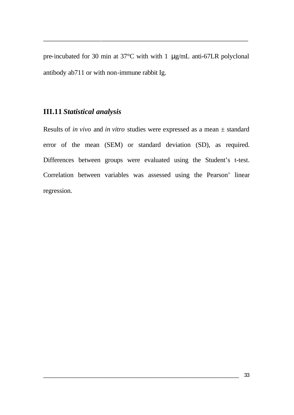pre-incubated for 30 min at 37°C with with 1 μg/mL anti-67LR polyclonal antibody ab711 or with non-immune rabbit Ig.

\_\_\_\_\_\_\_\_\_\_\_\_\_\_\_\_\_\_\_\_\_\_\_\_\_\_\_\_\_\_\_\_\_\_\_\_\_\_\_\_\_\_\_\_\_\_\_\_\_\_\_\_\_\_\_\_\_\_\_\_\_\_\_\_

## **III.11** *Statistical analysis*

Results of *in vivo* and *in vitro* studies were expressed as a mean ± standard error of the mean (SEM) or standard deviation (SD), as required. Differences between groups were evaluated using the Student's t-test. Correlation between variables was assessed using the Pearson' linear regression.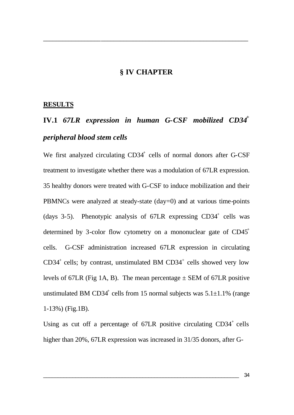#### **§ IV CHAPTER**

\_\_\_\_\_\_\_\_\_\_\_\_\_\_\_\_\_\_\_\_\_\_\_\_\_\_\_\_\_\_\_\_\_\_\_\_\_\_\_\_\_\_\_\_\_\_\_\_\_\_\_\_\_\_\_\_\_\_\_\_\_\_\_\_

#### **RESULTS**

# **IV.1** *67LR expression in human G-CSF mobilized CD34<sup>+</sup> peripheral blood stem cells*

We first analyzed circulating CD34<sup>+</sup> cells of normal donors after G-CSF treatment to investigate whether there was a modulation of 67LR expression. 35 healthy donors were treated with G-CSF to induce mobilization and their PBMNCs were analyzed at steady-state (day=0) and at various time-points (days 3-5). Phenotypic analysis of 67LR expressing CD34<sup>+</sup> cells was determined by 3-color flow cytometry on a mononuclear gate of CD45<sup>+</sup> cells. G-CSF administration increased 67LR expression in circulating  $CD34<sup>+</sup>$  cells; by contrast, unstimulated BM  $CD34<sup>+</sup>$  cells showed very low levels of 67LR (Fig 1A, B). The mean percentage  $\pm$  SEM of 67LR positive unstimulated BM CD34<sup>+</sup> cells from 15 normal subjects was  $5.1 \pm 1.1\%$  (range 1-13%) (Fig.1B).

Using as cut off a percentage of  $67LR$  positive circulating  $CD34<sup>+</sup>$  cells higher than 20%, 67LR expression was increased in 31/35 donors, after G-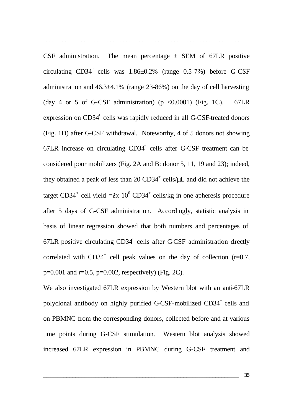CSF administration. The mean percentage  $\pm$  SEM of 67LR positive circulating  $CD34^+$  cells was  $1.86\pm0.2\%$  (range 0.5-7%) before G-CSF administration and 46.3±4.1% (range 23-86%) on the day of cell harvesting (day 4 or 5 of G-CSF administration) (p  $\langle 0.0001 \rangle$  (Fig. 1C). 67LR expression on CD34<sup>+</sup> cells was rapidly reduced in all G-CSF-treated donors (Fig. 1D) after G-CSF withdrawal. Noteworthy, 4 of 5 donors not showing  $67LR$  increase on circulating  $CD34<sup>+</sup>$  cells after G-CSF treatment can be considered poor mobilizers (Fig. 2A and B: donor 5, 11, 19 and 23); indeed, they obtained a peak of less than  $20 \text{ CD}34^+$  cells/ $\mu$ L and did not achieve the target CD34<sup>+</sup> cell yield  $=2x$  10<sup>6</sup> CD34<sup>+</sup> cells/kg in one apheresis procedure after 5 days of G-CSF administration. Accordingly, statistic analysis in basis of linear regression showed that both numbers and percentages of  $67LR$  positive circulating  $CD34<sup>+</sup>$  cells after G-CSF administration directly correlated with  $CD34^+$  cell peak values on the day of collection ( $r=0.7$ ,  $p=0.001$  and  $r=0.5$ ,  $p=0.002$ , respectively) (Fig. 2C).

\_\_\_\_\_\_\_\_\_\_\_\_\_\_\_\_\_\_\_\_\_\_\_\_\_\_\_\_\_\_\_\_\_\_\_\_\_\_\_\_\_\_\_\_\_\_\_\_\_\_\_\_\_\_\_\_\_\_\_\_\_\_\_\_

We also investigated 67LR expression by Western blot with an anti-67LR polyclonal antibody on highly purified G-CSF-mobilized CD34<sup>+</sup> cells and on PBMNC from the corresponding donors, collected before and at various time points during G-CSF stimulation. Western blot analysis showed increased 67LR expression in PBMNC during G-CSF treatment and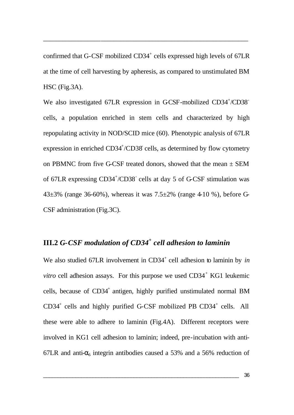confirmed that G-CSF mobilized CD34<sup>+</sup> cells expressed high levels of 67LR at the time of cell harvesting by apheresis, as compared to unstimulated BM HSC (Fig.3A).

\_\_\_\_\_\_\_\_\_\_\_\_\_\_\_\_\_\_\_\_\_\_\_\_\_\_\_\_\_\_\_\_\_\_\_\_\_\_\_\_\_\_\_\_\_\_\_\_\_\_\_\_\_\_\_\_\_\_\_\_\_\_\_\_

We also investigated 67LR expression in GCSF-mobilized CD34+/CD38 cells, a population enriched in stem cells and characterized by high repopulating activity in NOD/SCID mice (60). Phenotypic analysis of 67LR expression in enriched CD34<sup>+</sup>/CD38 cells, as determined by flow cytometry on PBMNC from five G-CSF treated donors, showed that the mean  $\pm$  SEM of 67LR expressing CD34<sup>+</sup>/CD38<sup>-</sup> cells at day 5 of G-CSF stimulation was 43 $\pm$ 3% (range 36-60%), whereas it was 7.5 $\pm$ 2% (range 4-10 %), before G-CSF administration (Fig.3C).

## **III.2** *G-CSF modulation of CD34<sup>+</sup> cell adhesion to laminin*

We also studied 67LR involvement in CD34<sup>+</sup> cell adhesion to laminin by *in vitro* cell adhesion assays. For this purpose we used  $CD34<sup>+</sup>$  KG1 leukemic cells, because of CD34<sup>+</sup> antigen, highly purified unstimulated normal BM CD34<sup>+</sup> cells and highly purified G-CSF mobilized PB CD34<sup>+</sup> cells. All these were able to adhere to laminin (Fig.4A). Different receptors were involved in KG1 cell adhesion to laminin; indeed, pre-incubation with anti-67LR and anti- $\alpha_6$  integrin antibodies caused a 53% and a 56% reduction of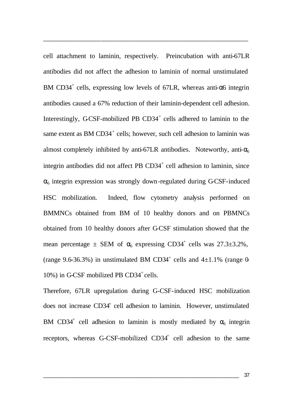cell attachment to laminin, respectively. Preincubation with anti-67LR antibodies did not affect the adhesion to laminin of normal unstimulated BM CD34<sup>+</sup> cells, expressing low levels of 67LR, whereas anti- $\alpha$ 6 integrin antibodies caused a 67% reduction of their laminin-dependent cell adhesion. Interestingly, GCSF-mobilized PB  $CD34^+$  cells adhered to laminin to the same extent as BM CD34<sup>+</sup> cells; however, such cell adhesion to laminin was almost completely inhibited by anti-67LR antibodies. Noteworthy, anti- $\alpha_6$ integrin antibodies did not affect PB  $CD34<sup>+</sup>$  cell adhesion to laminin, since  $\alpha_6$  integrin expression was strongly down-regulated during G-CSF-induced HSC mobilization. Indeed, flow cytometry analysis performed on BMMNCs obtained from BM of 10 healthy donors and on PBMNCs obtained from 10 healthy donors after G-CSF stimulation showed that the mean percentage  $\pm$  SEM of  $\alpha_6$  expressing CD34<sup>+</sup> cells was 27.3 $\pm$ 3.2%, (range 9.6-36.3%) in unstimulated BM CD34<sup>+</sup> cells and  $4\pm1.1$ % (range 0- $10\%$ ) in G-CSF mobilized PB CD34<sup>+</sup> cells.

\_\_\_\_\_\_\_\_\_\_\_\_\_\_\_\_\_\_\_\_\_\_\_\_\_\_\_\_\_\_\_\_\_\_\_\_\_\_\_\_\_\_\_\_\_\_\_\_\_\_\_\_\_\_\_\_\_\_\_\_\_\_\_\_

Therefore, 67LR upregulation during G-CSF-induced HSC mobilization does not increase CD34<sup>+</sup> cell adhesion to laminin. However, unstimulated BM CD34<sup>+</sup> cell adhesion to laminin is mostly mediated by  $\alpha_6$  integrin receptors, whereas G-CSF-mobilized CD34<sup>+</sup> cell adhesion to the same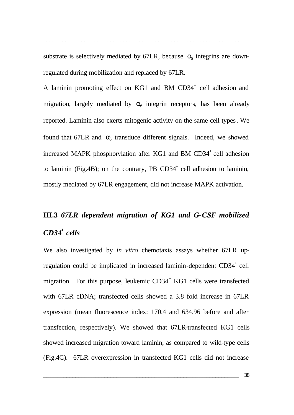substrate is selectively mediated by 67LR, because  $\alpha_6$  integrins are downregulated during mobilization and replaced by 67LR.

\_\_\_\_\_\_\_\_\_\_\_\_\_\_\_\_\_\_\_\_\_\_\_\_\_\_\_\_\_\_\_\_\_\_\_\_\_\_\_\_\_\_\_\_\_\_\_\_\_\_\_\_\_\_\_\_\_\_\_\_\_\_\_\_

A laminin promoting effect on KG1 and BM CD34<sup>+</sup> cell adhesion and migration, largely mediated by  $\alpha_6$  integrin receptors, has been already reported. Laminin also exerts mitogenic activity on the same cell types. We found that 67LR and  $\alpha_6$  transduce different signals. Indeed, we showed increased MAPK phosphorylation after KG1 and BM  $CD34^+$  cell adhesion to laminin (Fig.4B); on the contrary, PB  $CD34<sup>+</sup>$  cell adhesion to laminin, mostly mediated by 67LR engagement, did not increase MAPK activation.

## **III.3** *67LR dependent migration of KG1 and G-CSF mobilized CD34<sup>+</sup> cells*

We also investigated by *in vitro* chemotaxis assays whether 67LR upregulation could be implicated in increased laminin-dependent CD34<sup>+</sup> cell migration. For this purpose, leukemic CD34<sup>+</sup> KG1 cells were transfected with 67LR cDNA; transfected cells showed a 3.8 fold increase in 67LR expression (mean fluorescence index: 170.4 and 634.96 before and after transfection, respectively). We showed that 67LR-transfected KG1 cells showed increased migration toward laminin, as compared to wild-type cells (Fig.4C). 67LR overexpression in transfected KG1 cells did not increase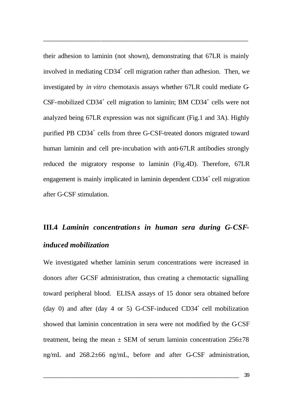their adhesion to laminin (not shown), demonstrating that 67LR is mainly involved in mediating CD34<sup>+</sup> cell migration rather than adhesion. Then, we investigated by *in vitro* chemotaxis assays whether 67LR could mediate G- $CSF$ -mobilized  $CD34<sup>+</sup>$  cell migration to laminin; BM  $CD34<sup>+</sup>$  cells were not analyzed being 67LR expression was not significant (Fig.1 and 3A). Highly purified PB CD34<sup>+</sup> cells from three G-CSF-treated donors migrated toward human laminin and cell pre-incubation with anti-67LR antibodies strongly reduced the migratory response to laminin (Fig.4D). Therefore, 67LR engagement is mainly implicated in laminin dependent CD34<sup>+</sup> cell migration after G-CSF stimulation.

\_\_\_\_\_\_\_\_\_\_\_\_\_\_\_\_\_\_\_\_\_\_\_\_\_\_\_\_\_\_\_\_\_\_\_\_\_\_\_\_\_\_\_\_\_\_\_\_\_\_\_\_\_\_\_\_\_\_\_\_\_\_\_\_

## **III.4** *Laminin concentrations in human sera during G-CSFinduced mobilization*

We investigated whether laminin serum concentrations were increased in donors after G-CSF administration, thus creating a chemotactic signalling toward peripheral blood. ELISA assays of 15 donor sera obtained before  $(\text{day } 0)$  and after  $(\text{day } 4 \text{ or } 5)$  G-CSF-induced CD34<sup>+</sup> cell mobilization showed that laminin concentration in sera were not modified by the GCSF treatment, being the mean  $\pm$  SEM of serum laminin concentration 256 $\pm$ 78 ng/mL and 268.2±66 ng/mL, before and after G-CSF administration,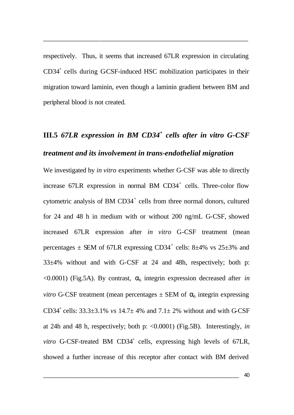respectively. Thus, it seems that increased 67LR expression in circulating CD34<sup>+</sup> cells during GCSF-induced HSC mobilization participates in their migration toward laminin, even though a laminin gradient between BM and peripheral blood is not created.

\_\_\_\_\_\_\_\_\_\_\_\_\_\_\_\_\_\_\_\_\_\_\_\_\_\_\_\_\_\_\_\_\_\_\_\_\_\_\_\_\_\_\_\_\_\_\_\_\_\_\_\_\_\_\_\_\_\_\_\_\_\_\_\_

# **III.5** *67LR expression in BM CD34<sup>+</sup> cells after in vitro G-CSF treatment and its involvement in trans-endothelial migration*

We investigated by *in vitro* experiments whether G-CSF was able to directly increase  $67LR$  expression in normal BM  $CD34^+$  cells. Three-color flow cytometric analysis of BM  $CD34<sup>+</sup>$  cells from three normal donors, cultured for 24 and 48 h in medium with or without 200 ng/mL G-CSF, showed increased 67LR expression after *in vitro* G-CSF treatment (mean percentages  $\pm$  SEM of 67LR expressing CD34<sup>+</sup> cells: 8 $\pm$ 4% vs 25 $\pm$ 3% and 33±4% without and with G-CSF at 24 and 48h, respectively; both p:  $\leq$ 0.0001) (Fig.5A). By contrast,  $\alpha$ <sub>6</sub> integrin expression decreased after *in vitro* G-CSF treatment (mean percentages  $\pm$  SEM of  $\alpha_6$  integrin expressing CD34<sup>+</sup> cells:  $33.3\pm3.1\%$  *vs*  $14.7\pm$  4% and  $7.1\pm$  2% without and with G-CSF at 24h and 48 h, respectively; both p: <0.0001) (Fig.5B). Interestingly, *in vitro* G-CSF-treated BM CD34<sup>+</sup> cells, expressing high levels of 67LR, showed a further increase of this receptor after contact with BM derived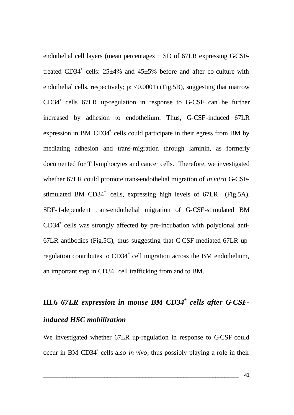endothelial cell layers (mean percentages  $\pm$  SD of 67LR expressing GCSFtreated CD34<sup>+</sup> cells:  $25\pm4\%$  and  $45\pm5\%$  before and after co-culture with endothelial cells, respectively; p:  $\langle 0.0001 \rangle$  (Fig.5B), suggesting that marrow CD34<sup>+</sup> cells 67LR up-regulation in response to G-CSF can be further increased by adhesion to endothelium. Thus, G-CSF-induced 67LR expression in BM  $CD34^+$  cells could participate in their egress from BM by mediating adhesion and trans-migration through laminin, as formerly documented for T lymphocytes and cancer cells. Therefore, we investigated whether 67LR could promote trans-endothelial migration of *in vitro* G-CSFstimulated BM  $CD34^+$  cells, expressing high levels of  $67LR$  (Fig.5A). SDF-1-dependent trans-endothelial migration of G-CSF-stimulated BM CD34<sup>+</sup> cells was strongly affected by pre-incubation with polyclonal anti-67LR antibodies (Fig.5C), thus suggesting that G-CSF-mediated 67LR upregulation contributes to  $CD34<sup>+</sup>$  cell migration across the BM endothelium, an important step in CD34<sup>+</sup> cell trafficking from and to BM.

\_\_\_\_\_\_\_\_\_\_\_\_\_\_\_\_\_\_\_\_\_\_\_\_\_\_\_\_\_\_\_\_\_\_\_\_\_\_\_\_\_\_\_\_\_\_\_\_\_\_\_\_\_\_\_\_\_\_\_\_\_\_\_\_

# **III.6** *67LR expression in mouse BM CD34<sup>+</sup> cells after G-CSFinduced HSC mobilization*

We investigated whether 67LR up-regulation in response to G-CSF could occur in BM CD34<sup>+</sup> cells also *in vivo*, thus possibly playing a role in their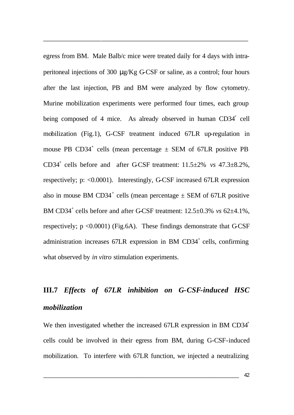egress from BM. Male Balb/c mice were treated daily for 4 days with intraperitoneal injections of 300  $\mu$ g/Kg G-CSF or saline, as a control; four hours after the last injection, PB and BM were analyzed by flow cytometry. Murine mobilization experiments were performed four times, each group being composed of 4 mice. As already observed in human CD34<sup>+</sup> cell mobilization (Fig.1), G-CSF treatment induced 67LR up-regulation in mouse PB CD34<sup>+</sup> cells (mean percentage  $\pm$  SEM of 67LR positive PB CD34<sup>+</sup> cells before and after GCSF treatment:  $11.5\pm2\%$  *vs*  $47.3\pm8.2\%$ , respectively; p: <0.0001). Interestingly, G-CSF increased 67LR expression also in mouse BM CD34<sup>+</sup> cells (mean percentage  $\pm$  SEM of 67LR positive BM CD34<sup>+</sup> cells before and after G-CSF treatment:  $12.5 \pm 0.3\%$  *vs* 62 $\pm$ 4.1%, respectively;  $p \le 0.0001$ ) (Fig.6A). These findings demonstrate that GCSF administration increases 67LR expression in BM CD34<sup>+</sup> cells, confirming what observed by *in vitro* stimulation experiments.

\_\_\_\_\_\_\_\_\_\_\_\_\_\_\_\_\_\_\_\_\_\_\_\_\_\_\_\_\_\_\_\_\_\_\_\_\_\_\_\_\_\_\_\_\_\_\_\_\_\_\_\_\_\_\_\_\_\_\_\_\_\_\_\_

# **III.7** *Effects of 67LR inhibition on G-CSF-induced HSC mobilization*

We then investigated whether the increased 67LR expression in BM CD34<sup>+</sup> cells could be involved in their egress from BM, during G-CSF-induced mobilization. To interfere with 67LR function, we injected a neutralizing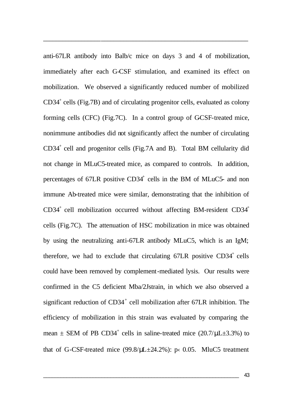anti-67LR antibody into Balb/c mice on days 3 and 4 of mobilization, immediately after each G-CSF stimulation, and examined its effect on mobilization. We observed a significantly reduced number of mobilized CD34<sup>+</sup> cells (Fig.7B) and of circulating progenitor cells, evaluated as colony forming cells  $(CFC)$  (Fig.7C). In a control group of GCSF-treated mice, nonimmune antibodies did not significantly affect the number of circulating CD34<sup>+</sup> cell and progenitor cells (Fig.7A and B). Total BM cellularity did not change in MLuC5-treated mice, as compared to controls. In addition, percentages of  $67LR$  positive  $CD34<sup>+</sup>$  cells in the BM of MLuC5- and non immune Ab-treated mice were similar, demonstrating that the inhibition of  $CD34<sup>+</sup>$  cell mobilization occurred without affecting BM-resident  $CD34<sup>+</sup>$ cells (Fig.7C). The attenuation of HSC mobilization in mice was obtained by using the neutralizing anti-67LR antibody MLuC5, which is an IgM; therefore, we had to exclude that circulating  $67LR$  positive  $CD34<sup>+</sup>$  cells could have been removed by complement-mediated lysis. Our results were confirmed in the C5 deficient Mba/2Jstrain, in which we also observed a significant reduction of CD34<sup>+</sup> cell mobilization after 67LR inhibition. The efficiency of mobilization in this strain was evaluated by comparing the mean  $\pm$  SEM of PB CD34<sup>+</sup> cells in saline-treated mice (20.7/ $\mu$ L $\pm$ 3.3%) to that of G-CSF-treated mice  $(99.8/\mu L \pm 24.2\%)$ : p< 0.05. MluC5 treatment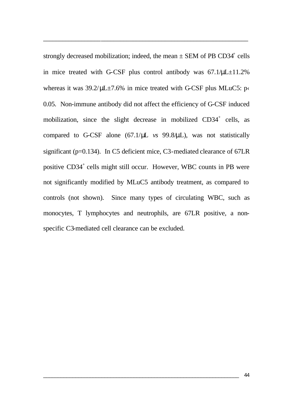strongly decreased mobilization; indeed, the mean  $\pm$  SEM of PB CD34<sup>+</sup> cells in mice treated with G-CSF plus control antibody was 67.1/μL±11.2% whereas it was  $39.2/\mu L \pm 7.6\%$  in mice treated with G-CSF plus MLuC5: p $\cdot$ 0.05. Non-immune antibody did not affect the efficiency of G-CSF induced mobilization, since the slight decrease in mobilized CD34<sup>+</sup> cells, as compared to G-CSF alone (67.1/μL *vs* 99.8/μL), was not statistically significant (p=0.134). In C5 deficient mice, C3-mediated clearance of 67LR positive CD34<sup>+</sup> cells might still occur. However, WBC counts in PB were not significantly modified by MLuC5 antibody treatment, as compared to controls (not shown). Since many types of circulating WBC, such as monocytes, T lymphocytes and neutrophils, are 67LR positive, a nonspecific C3-mediated cell clearance can be excluded.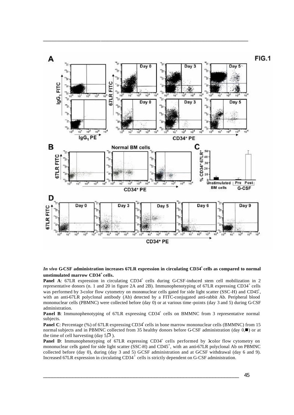

#### *In vivo* G-CSF administration increases 67LR expression in circulating CD34<sup>+</sup> cells as compared to normal **unstimulated marrow CD34<sup>+</sup>cells.**

Panel A: 67LR expression in circulating CD34<sup>+</sup> cells during G-CSF-induced stem cell mobilization in 2 representative donors (n. 1 and 20 in figure 2A and 2B). Immunophenotyping of 67LR expressing CD34<sup>+</sup> cells was performed by 3-color flow cytometry on mononuclear cells gated for side light scatter (SSC-H) and CD45<sup>+</sup>, with an anti-67LR polyclonal antibody (Ab) detected by a FITC-conjugated anti-rabbit Ab. Peripheral blood mononuclear cells (PBMNC) were collected before (day 0) or at various time -points (day 3 and 5) during G-CSF administration.

Panel B: Immunophenotyping of 67LR expressing CD34<sup>+</sup> cells on BMMNC from 3 representative normal subjects.

**Panel C**: Percentage (%) of 67LR expressing CD34<sup>+</sup> cells in bone marrow mononuclear cells (BMMNC) from 15 normal subjects and in PBMNC collected from 35 healthy donors before G-CSF administration (day  $0,\blacksquare$ ) or at the time of cell harvesting (day  $5\sqrt{2}$ ).

Panel D: Immunophenotyping of 67LR expressing CD34<sup>+</sup> cells performed by 3color flow cytometry on mononuclear cells gated for side light scatter  $(SSC-H)$  and  $CD45^+$ , with an anti-67LR polyclonal Ab on PBMNC collected before (day 0), during (day 3 and 5) GCSF administration and at GCSF withdrawal (day 6 and 9). Increased 67LR expression in circulating CD34<sup>+</sup> cells is strictly dependent on G-CSF administration.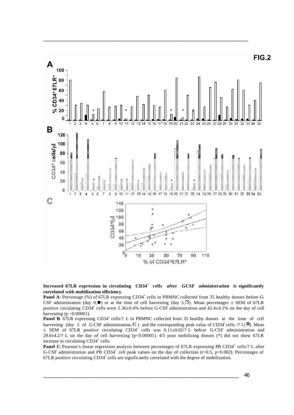

#### Increased 67LR expression in circulating  $CD34^+$  cells after GCSF administration is significantly **correlated with mobilization efficiency**.

**Panel A**: Percentage (%) of 67LR expressing CD34<sup>+</sup> cells in PBMNC collected from 35 healthy donors before G-CSF administration (day  $0, \blacksquare$ ) or at the time of cell harvesting (day  $5, \square$ ). Mean percentages  $\pm$  SEM of 67LR positive circulating CD34<sup>+</sup> cells were 2.36±0.4% before G-CSF administration and 42.4±4.1% on the day of cell harvesting ( $p < 0.00001$ ).

**Panel B:** 67LR expressing CD34<sup>+</sup> cells/? L in PBMNC collected from 35 healthy donors at the time of cell harvesting (day 5 of G-CSF administration,  $\Box$ ) and the corresponding peak value of CD34<sup>+</sup> cells /? l ( $\Box$ ). Mean  $\pm$  SEM of 67LR positive circulating CD34<sup>+</sup> cells was  $0.11\pm0.02/7$  L before G-CSF administration and 29.6±4.2/? L on the day of cell harvesting (p<0.00001). 4/5 poor mobilizing donors (\*) did not show 67LR increase in circulating CD34<sup>+</sup> cells.

Panel C: Pearson's linear regression analysis between percentages of 67LR expressing PB CD34<sup>+</sup> cells/? L after G-CSF administration and PB CD34<sup>+</sup> cell peak values on the day of collection (r=0.5, p=0.002). Percentages of 67LR positive circulating CD34<sup>+</sup> cells are significantly correlated with the degree of mobilization.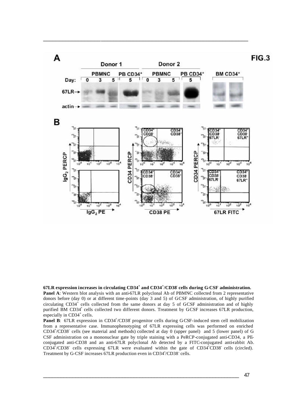

**67LR expression increases in circulating CD34<sup>+</sup> and CD34<sup>+</sup> /CD38- cells during G-CSF administration. Panel A:** Western blot analysis with an anti-67LR polyclonal Ab of PBMNC collected from 2 representative donors before (day 0) or at different time-points (day 3 and 5) of GCSF administration, of highly purified circulating  $CD34^+$  cells collected from the same donors at day 5 of GCSF administration and of highly purified BM CD34<sup>+</sup> cells collected two different donors. Treatment by GCSF increases 67LR production, especially in CD34<sup>+</sup> cells.

Panel B: 67LR expression in CD34<sup>+</sup>/CD38 progenitor cells during G-CSF-induced stem cell mobilization from a representative case. Immunophenotyping of 67LR expressing cells was performed on enriched  $CD34^{+}/CD38^{-}$  cells (see material and methods) collected at day 0 (upper panel) and 5 (lower panel) of G-CSF administration on a mononuclear gate by triple staining with a PeRCP-conjugated anti-CD34, a PEconjugated anti-CD38 and an anti-67LR polyclonal Ab detected by a FITC-conjugated anti-rabbit Ab. CD34<sup>+</sup>/CD38<sup>-</sup> cells expressing 67LR were evaluated within the gate of CD34<sup>+</sup>CD38<sup>-</sup> cells (circled). Treatment by G-CSF increases 67LR production even in CD34<sup>+</sup>/CD38<sup>-</sup> cells.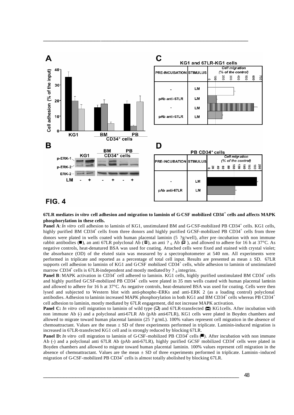

### **FIG. 4**

#### **67LR mediates** *in vitro* **cell adhesion and migration to laminin of G-CSF mobilized CD34<sup>+</sup> cells and affects MAPK phosphorylation in these cells.**

**Panel A**: *In vitro* cell adhesion to laminin of KG1, unstimulated BM and G-CSF-mobilized PB CD34<sup>+</sup> cells. KG1 cells, highly purified BM CD34<sup>+</sup> cells from three donors and highly purified GCSF-mobilized PB CD34<sup>+</sup> cells from three donors were plated in wells coated with human placental laminin (5 ?g/well), after pre-incubation with non immune rabbit antibodies ( $\blacksquare$ ), an anti 67LR polyclonal Ab ( $\blacksquare$ ), an anti ? 6 Ab  $\spadesuit$  ), and allowed to adhere for 16 h at 37°C. As negative controls, heat-denatured BSA was used for coating. Attached cells were fixed and stained with crystal violet; the absorbance (OD) of the eluted stain was measured by a spectrophotometer at 540 nm. All experiments were performed in triplicate and reported as a percentage of total cell input. Results are presented as mean ± SD. 67LR supports cell adhesion to laminin of KG1 and GCSF mobilized  $CD3\overset{1}{4}^+$  cells, while adhesion to laminin of unstimulated marrow CD34<sup>+</sup> cells is 67LR-independent and mostly mediated by ?  $_6$  integrins.

Panel B: MAPK activation in CD34<sup>+</sup> cell adhered to laminin. KG1 cells, highly purified unstimulated BM CD34<sup>+</sup> cells and highly purified GCSF-mobilized PB  $CD34^+$  cells were plated in 35 mm wells coated with human placental laminin and allowed to adhere for 16 h at 37°C. As negative controls, heat-denatured BSA was used for coating. Cells were then lysed and subjected to Western blot with anti-phospho -ERKs and anti-ERK 2 (as a loading control) polyclonal antibodies. Adhesion to laminin increased MAPK phosphorylation in both KG1 and BM CD34<sup>+</sup> cells whereas PB CD34<sup>+</sup> cell adhesion to laminin, mostly mediated by 67LR engagement, did not increase MAPK activation.

**Panel C:** *In vitro* cell migration to laminin of wild type  $(\Box)$  and 67LR-transfected  $(\Box)$  KG1cells. After incubation with non immune Ab (-) and a polyclonal anti-67LR Ab (pAb anti-67LR), KG1 cells were plated in Boyden chambers and allowed to migrate toward human placental laminin (25 ?  $g/mL$ ). 100% values represent cell migration in the absence of chemoattractant. Values are the mean  $\pm$  SD of three experiments performed in triplicate. Laminin-induced migration is increased in 67LR-transfected KG1 cell and is strongly reduced by blocking 67LR.

**Panel D:** In vitro cell migration to laminin of G-CSF-mobilized PB CD34<sup>+</sup> cells (.). After incubation with non immune Ab (-) and a polyclonal anti 67LR Ab (pAb anti-67LR), highly purified GCSF mobilized CD34<sup>+</sup> cells were plated in Boyden chambers and allowed to migrate toward human placental laminin. 100% values represent cell migration in the absence of chemoattractant. Values are the mean  $\pm$  SD of three experiments performed in triplicate. Laminin-induced migration of G-CSF-mobilized PB CD34<sup>+</sup> cells is almost totally abolished by blocking 67LR.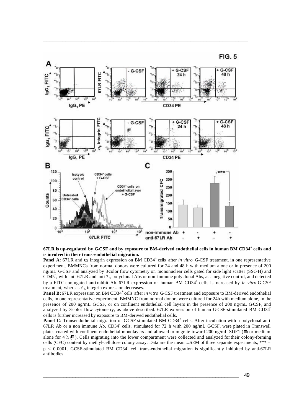



**67LR is up-regulated by G-CSF and by exposure to BM-derived endothelial cells in human BM CD34<sup>+</sup> cells and is involved in their trans-endothelial migration.** 

**Panel A:** 67LR and  $\alpha_6$  integrin expression on BM CD34<sup>+</sup> cells after *in vitro* G-CSF treatment, in one representative experiment. BMMNCs from normal donors were cultured for 24 and 48 h with medium alone or in presence of 200 ng/mL G-CSF and analyzed by 3-color flow cytometry on mononuclear cells gated for side light scatter (SSC-H) and  $\overline{CD}45^+$ , with anti-67LR and anti-? 6 polyclonal Abs or non-immune polyclonal Abs, as a negative control, and detected by a FITC-conjugated anti-rabbit Ab. 67LR expression on human BM CD34<sup>+</sup> cells is increased by *in vitro* G-CSF treatment, whereas  $?_6$  integrin expression decreases.

**Panel B:** 67LR expression on BM CD34<sup>+</sup> cells after *in vitro* G-CSF treatment and exposure to BM-derived endothelial cells, in one representative experiment. BMMNC from normal donors were cultured for 24h with medium alone, in the presence of 200 ng/mL GCSF, or on confluent endothelial cell layers in the presence of 200 ng/mL GCSF, and analyzed by 3-color flow cytometry, as above described. 67LR expression of human G-CSF-stimulated BM CD34<sup>+</sup> cells is further increased by exposure to BM-derived endothelial cells.

Panel C: Transendothelial migration of GCSF-stimulated BM CD34<sup>+</sup> cells. After incubation with a polyclonal anti 67LR Ab or a non immune Ab, CD34<sup>+</sup> cells, stimulated for 72 h with 200 ng/mL GCSF, were plated in Transwell plates coated with confluent endothelial monolayers and allowed to migrate toward 200 ng/mL SDF1 ( $\Box$ ) or medium alone for 4 h  $\Box$ ). Cells migrating into the lower compartment were collected and analyzed for their colony-forming cells (CFC) content by methyl-cellulose colony assay. Data are the mean  $\pm$  SEM of three separate experiments, \*\*\* =  $p < 0.0001$ . GCSF-stimulated BM CD34<sup>+</sup> cell trans-endothelial migration is significantly inhibited by anti-67LR antibodies.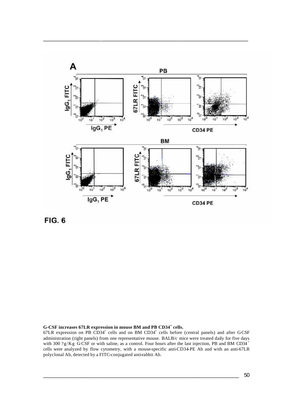

**FIG. 6** 

**G-CSF increases 67LR expression in mouse BM and PB CD34<sup>+</sup> cells.** 

 $67LR$  expression on PB CD34<sup>+</sup> cells and on BM CD34<sup>+</sup> cells before (central panels) and after GCSF administration (right panels) from one representative mouse. BALB/c mice were treated daily for five days with 300 ?g/Kg  $\overrightarrow{GCSF}$  or with saline, as a control. Four hours after the last injection, PB and BM CD34<sup>+</sup> cells were analyzed by flow cytometry, with a mouse-specific anti-CD34-PE Ab and with an anti-67LR polyclonal Ab, detected by a FITC-conjugated anti-rabbit Ab.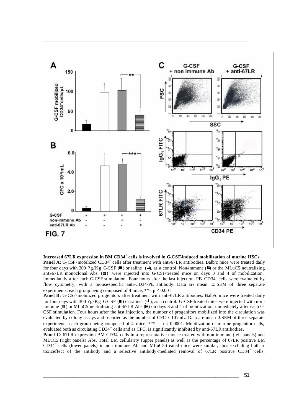

**Increased 67LR expression in BM CD34<sup>+</sup> cells is involved in G-CSF-induced mobilization of murine HSCs.** Panel A: G-CSF-mobilized CD34<sup>+</sup> cells after treatment with anti-67LR antibodies. Balb/c mice were treated daily for four days with 300 ?g/Kg G-CSF ( $\blacksquare$ ) or saline ( $\Box$ ), as a control. Non-immune ( $\blacksquare$ ) or the MLuC5 neutralizing anti-67LR monoclonal Abs  $(\blacksquare)$  were injected into G-CSF-treated mice on days 3 and 4 of mobilization, immediately after each G-CSF stimulation. Four hours after the last injection, PB CD34<sup>+</sup> cells were evaluated by flow cytometry, with a mouse-specific anti-CD34-PE antibody. Data are mean ± SEM of three separate

experiments, each group being composed of 4 mice;  $**= p < 0.001$ Panel B: G-CSF-mobilized progenitors after treatment with anti-67LR antibodies. Balb/c mice were treated daily for four days with 300 ?g/Kg G-CSF ( $\blacksquare$ ) or saline ( $\Box$ ), as a control. G-CSF-treated mice were injected with nonimmune  $(\blacksquare)$  or MLuC5 neutralizing anti-67LR Abs  $(\blacksquare)$  on days 3 and 4 of mobilization, immediately after each G-CSF stimulation. Four hours after the last injection, the number of progenitors mobilized into the circulation was evaluated by colony assays and reported as the number of CFC x  $10^3$ /mL. Data are mean  $\pm$  SEM of three separate experiments, each group being composed of 4 mice;  $*** = p < 0.0001$ . Mobilization of murine progenitor cells, evaluated both as circulating CD34<sup>+</sup> cells and as CFC, is significantly inhibited by anti-67LR antibodies.

**Panel C**: 67LR expression BM CD34<sup>+</sup> cells in a representative mouse treated with non immune (left panels) and MLuC5 (right panels) Abs. Total BM cellularity (upper panels) as well as the percentage of 67LR positive BM CD34<sup>+</sup> cells (lower panels) in non immune Ab and MLuC5-treated mice were similar, thus excluding both a toxiceffect of the antibody and a selective antibody-mediated removal of  $67LR$  positive  $CD34<sup>+</sup>$  cells.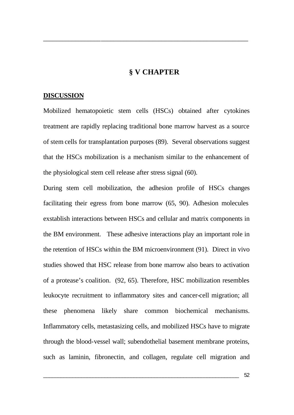### **§ V CHAPTER**

\_\_\_\_\_\_\_\_\_\_\_\_\_\_\_\_\_\_\_\_\_\_\_\_\_\_\_\_\_\_\_\_\_\_\_\_\_\_\_\_\_\_\_\_\_\_\_\_\_\_\_\_\_\_\_\_\_\_\_\_\_\_\_\_

### **DISCUSSION**

Mobilized hematopoietic stem cells (HSCs) obtained after cytokines treatment are rapidly replacing traditional bone marrow harvest as a source of stem cells for transplantation purposes (89). Several observations suggest that the HSCs mobilization is a mechanism similar to the enhancement of the physiological stem cell release after stress signal (60).

During stem cell mobilization, the adhesion profile of HSCs changes facilitating their egress from bone marrow (65, 90). Adhesion molecules exstablish interactions between HSCs and cellular and matrix components in the BM environment. These adhesive interactions play an important role in the retention of HSCs within the BM microenvironment (91). Direct in vivo studies showed that HSC release from bone marrow also bears to activation of a protease's coalition. (92, 65). Therefore, HSC mobilization resembles leukocyte recruitment to inflammatory sites and cancer-cell migration; all these phenomena likely share common biochemical mechanisms. Inflammatory cells, metastasizing cells, and mobilized HSCs have to migrate through the blood-vessel wall; subendothelial basement membrane proteins, such as laminin, fibronectin, and collagen, regulate cell migration and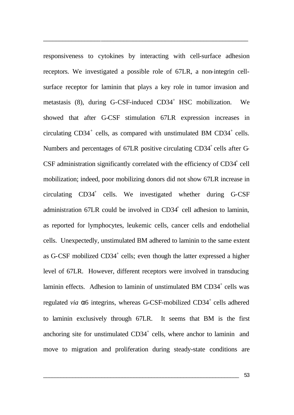responsiveness to cytokines by interacting with cell-surface adhesion receptors. We investigated a possible role of 67LR, a non-integrin cellsurface receptor for laminin that plays a key role in tumor invasion and metastasis (8), during G-CSF-induced CD34<sup>+</sup> HSC mobilization. We showed that after G-CSF stimulation 67LR expression increases in circulating  $CD34<sup>+</sup>$  cells, as compared with unstimulated BM  $CD34<sup>+</sup>$  cells. Numbers and percentages of  $67LR$  positive circulating  $CD34^+$  cells after G-CSF administration significantly correlated with the efficiency of  $CD34<sup>+</sup>$  cell mobilization; indeed, poor mobilizing donors did not show 67LR increase in circulating CD34<sup>+</sup> cells. We investigated whether during G-CSF administration  $67LR$  could be involved in  $CD34<sup>+</sup>$  cell adhesion to laminin, as reported for lymphocytes, leukemic cells, cancer cells and endothelial cells. Unexpectedly, unstimulated BM adhered to laminin to the same extent as G-CSF mobilized  $CD34^+$  cells; even though the latter expressed a higher level of 67LR. However, different receptors were involved in transducing laminin effects. Adhesion to laminin of unstimulated BM CD34<sup>+</sup> cells was regulated *via* α6 integrins, whereas G-CSF-mobilized CD34<sup>+</sup> cells adhered to laminin exclusively through 67LR. It seems that BM is the first anchoring site for unstimulated  $CD34<sup>+</sup>$  cells, where anchor to laminin and move to migration and proliferation during steady-state conditions are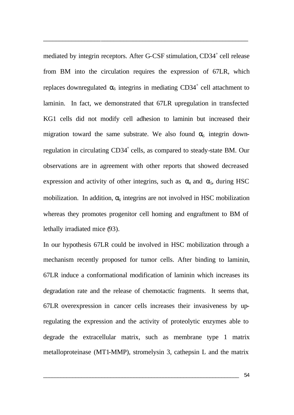mediated by integrin receptors. After G-CSF stimulation, CD34<sup>+</sup> cell release from BM into the circulation requires the expression of 67LR, which replaces downregulated  $\alpha_6$  integrins in mediating CD34<sup>+</sup> cell attachment to laminin. In fact, we demonstrated that 67LR upregulation in transfected KG1 cells did not modify cell adhesion to laminin but increased their migration toward the same substrate. We also found  $\alpha_6$  integrin downregulation in circulating CD34<sup>+</sup> cells, as compared to steady-state BM. Our observations are in agreement with other reports that showed decreased expression and activity of other integrins, such as  $\alpha_4$  and  $\alpha_5$ , during HSC mobilization. In addition,  $\alpha_6$  integrins are not involved in HSC mobilization whereas they promotes progenitor cell homing and engraftment to BM of lethally irradiated mice (93).

\_\_\_\_\_\_\_\_\_\_\_\_\_\_\_\_\_\_\_\_\_\_\_\_\_\_\_\_\_\_\_\_\_\_\_\_\_\_\_\_\_\_\_\_\_\_\_\_\_\_\_\_\_\_\_\_\_\_\_\_\_\_\_\_

In our hypothesis 67LR could be involved in HSC mobilization through a mechanism recently proposed for tumor cells. After binding to laminin, 67LR induce a conformational modification of laminin which increases its degradation rate and the release of chemotactic fragments. It seems that, 67LR overexpression in cancer cells increases their invasiveness by upregulating the expression and the activity of proteolytic enzymes able to degrade the extracellular matrix, such as membrane type 1 matrix metalloproteinase (MT1-MMP), stromelysin 3, cathepsin L and the matrix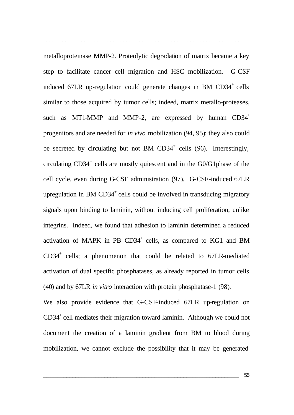metalloproteinase MMP-2. Proteolytic degradation of matrix became a key step to facilitate cancer cell migration and HSC mobilization. G-CSF induced  $67LR$  up-regulation could generate changes in BM  $CD34^+$  cells similar to those acquired by tumor cells; indeed, matrix metallo-proteases, such as MT1-MMP and MMP-2, are expressed by human  $CD34<sup>+</sup>$ progenitors and are needed for *in vivo* mobilization (94, 95); they also could be secreted by circulating but not BM  $CD34^+$  cells (96). Interestingly, circulating  $CD34<sup>+</sup>$  cells are mostly quiescent and in the  $G0/G1$  phase of the cell cycle, even during G-CSF administration (97). G-CSF-induced 67LR upregulation in BM  $CD34^+$  cells could be involved in transducing migratory signals upon binding to laminin, without inducing cell proliferation, unlike integrins. Indeed, we found that adhesion to laminin determined a reduced activation of MAPK in PB CD34<sup>+</sup> cells, as compared to KG1 and BM CD34<sup>+</sup> cells; a phenomenon that could be related to 67LR-mediated activation of dual specific phosphatases, as already reported in tumor cells (40) and by 67LR *in vitro* interaction with protein phosphatase-1 (98).

\_\_\_\_\_\_\_\_\_\_\_\_\_\_\_\_\_\_\_\_\_\_\_\_\_\_\_\_\_\_\_\_\_\_\_\_\_\_\_\_\_\_\_\_\_\_\_\_\_\_\_\_\_\_\_\_\_\_\_\_\_\_\_\_

We also provide evidence that G-CSF-induced 67LR up-regulation on CD34<sup>+</sup> cell mediates their migration toward laminin. Although we could not document the creation of a laminin gradient from BM to blood during mobilization, we cannot exclude the possibility that it may be generated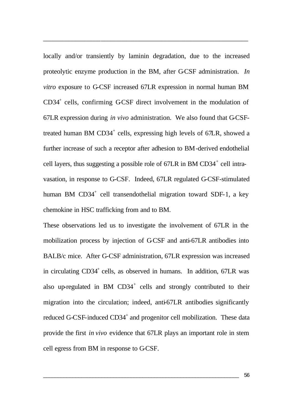locally and/or transiently by laminin degradation, due to the increased proteolytic enzyme production in the BM, after G-CSF administration. *In vitro* exposure to G-CSF increased 67LR expression in normal human BM CD34<sup>+</sup> cells, confirming GCSF direct involvement in the modulation of 67LR expression during *in vivo* administration. We also found that G-CSFtreated human BM CD34<sup>+</sup> cells, expressing high levels of 67LR, showed a further increase of such a receptor after adhesion to BM-derived endothelial cell layers, thus suggesting a possible role of  $67LR$  in BM CD34<sup>+</sup> cell intravasation, in response to G-CSF. Indeed, 67LR regulated G-CSF-stimulated human BM CD34<sup>+</sup> cell transendothelial migration toward SDF-1, a key chemokine in HSC trafficking from and to BM.

\_\_\_\_\_\_\_\_\_\_\_\_\_\_\_\_\_\_\_\_\_\_\_\_\_\_\_\_\_\_\_\_\_\_\_\_\_\_\_\_\_\_\_\_\_\_\_\_\_\_\_\_\_\_\_\_\_\_\_\_\_\_\_\_

These observations led us to investigate the involvement of 67LR in the mobilization process by injection of G-CSF and anti-67LR antibodies into BALB/c mice. After G-CSF administration, 67LR expression was increased in circulating CD34<sup>+</sup> cells, as observed in humans. In addition, 67LR was also up-regulated in BM  $CD34^+$  cells and strongly contributed to their migration into the circulation; indeed, anti-67LR antibodies significantly reduced G-CSF-induced CD34<sup>+</sup> and progenitor cell mobilization. These data provide the first *in vivo* evidence that 67LR plays an important role in stem cell egress from BM in response to G-CSF.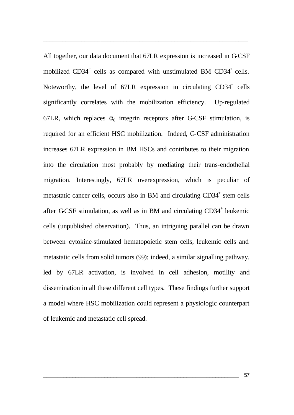All together, our data document that 67LR expression is increased in G-CSF mobilized  $CD34^+$  cells as compared with unstimulated BM  $CD34^+$  cells. Noteworthy, the level of  $67LR$  expression in circulating  $CD34^+$  cells significantly correlates with the mobilization efficiency. Up-regulated 67LR, which replaces  $\alpha_6$  integrin receptors after G-CSF stimulation, is required for an efficient HSC mobilization. Indeed, G-CSF administration increases 67LR expression in BM HSCs and contributes to their migration into the circulation most probably by mediating their trans-endothelial migration. Interestingly, 67LR overexpression, which is peculiar of metastatic cancer cells, occurs also in BM and circulating CD34<sup>+</sup> stem cells after GCSF stimulation, as well as in BM and circulating CD34<sup>+</sup> leukemic cells (unpublished observation). Thus, an intriguing parallel can be drawn between cytokine-stimulated hematopoietic stem cells, leukemic cells and metastatic cells from solid tumors (99); indeed, a similar signalling pathway, led by 67LR activation, is involved in cell adhesion, motility and dissemination in all these different cell types. These findings further support a model where HSC mobilization could represent a physiologic counterpart of leukemic and metastatic cell spread.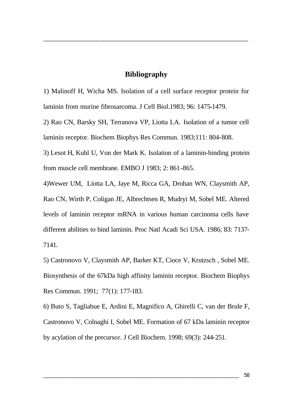### **Bibliography**

\_\_\_\_\_\_\_\_\_\_\_\_\_\_\_\_\_\_\_\_\_\_\_\_\_\_\_\_\_\_\_\_\_\_\_\_\_\_\_\_\_\_\_\_\_\_\_\_\_\_\_\_\_\_\_\_\_\_\_\_\_\_\_\_

1) Malinoff H, Wicha MS. Isolation of a cell surface receptor protein for laminin from murine fibrosarcoma. J Cell Biol.1983; 96: 1475-1479.

2) Rao CN, Barsky SH, Terranova VP, Liotta LA. Isolation of a tumor cell laminin receptor. Biochem Biophys Res Commun. 1983;111: 804-808.

3) Lesot H, Kuhl U, Von der Mark K. Isolation of a laminin-binding protein from muscle cell membrane. EMBO J 1983; 2: 861-865.

4)Wewer UM, Liotta LA, Jaye M, Ricca GA, Drohan WN, Claysmith AP, Rao CN, Wirth P, Coligan JE, Albrechtsen R, Mudryi M, Sobel ME. Altered levels of laminin receptor mRNA in various human carcinoma cells have different abilities to bind laminin. Proc Natl Acadi Sci USA. 1986; 83: 7137- 7141.

5) Castronovo V, Claysmith AP, Barker KT, Cioce V, Krutzsch , Sobel ME. Biosynthesis of the 67kDa high affinity laminin receptor. Biochem Biophys Res Commun. 1991; 77(1): 177-183.

6) Buto S, Tagliabue E, Ardini E, Magnifico A, Ghirelli C, van der Brule F, Castronovo V, Colnaghi I, Sobel ME. Formation of 67 kDa laminin receptor by acylation of the precursor. J Cell Biochem. 1998; 69(3): 244-251.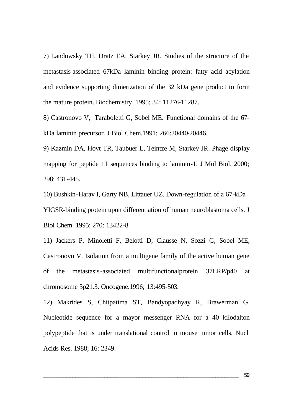7) Landowsky TH, Dratz EA, Starkey JR. Studies of the structure of the metastasis-associated 67kDa laminin binding protein: fatty acid acylation and evidence supporting dimerization of the 32 kDa gene product to form the mature protein. Biochemistry. 1995; 34: 11276-11287.

\_\_\_\_\_\_\_\_\_\_\_\_\_\_\_\_\_\_\_\_\_\_\_\_\_\_\_\_\_\_\_\_\_\_\_\_\_\_\_\_\_\_\_\_\_\_\_\_\_\_\_\_\_\_\_\_\_\_\_\_\_\_\_\_

8) Castronovo V, Taraboletti G, Sobel ME. Functional domains of the 67 kDa laminin precursor. J Biol Chem.1991; 266:20440-20446.

9) Kazmin DA, Hovt TR, Taubuer L, Teintze M, Starkey JR. Phage display mapping for peptide 11 sequences binding to laminin-1. J Mol Biol. 2000; 298: 431-445.

10) Bushkin-Harav I, Garty NB, Littauer UZ. Down-regulation of a 67-kDa YIGSR-binding protein upon differentiation of human neuroblastoma cells. J Biol Chem. 1995; 270: 13422-8.

11) Jackers P, Minoletti F, Belotti D, Clausse N, Sozzi G, Sobel ME, Castronovo V. Isolation from a multigene family of the active human gene of the metastasis-associated multifunctionalprotein 37LRP/p40 at chromosome 3p21.3. Oncogene.1996; 13:495-503.

12) Makrides S, Chitpatima ST, Bandyopadhyay R, Brawerman G. Nucleotide sequence for a mayor messenger RNA for a 40 kilodalton polypeptide that is under translational control in mouse tumor cells. Nucl Acids Res. 1988; 16: 2349.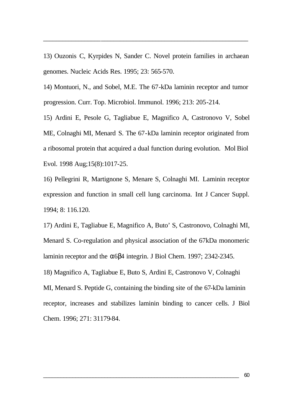13) Ouzonis C, Kyrpides N, Sander C. Novel protein families in archaean genomes. Nucleic Acids Res. 1995; 23: 565-570.

\_\_\_\_\_\_\_\_\_\_\_\_\_\_\_\_\_\_\_\_\_\_\_\_\_\_\_\_\_\_\_\_\_\_\_\_\_\_\_\_\_\_\_\_\_\_\_\_\_\_\_\_\_\_\_\_\_\_\_\_\_\_\_\_

14) Montuori, N., and Sobel, M.E. The 67-kDa laminin receptor and tumor progression. Curr. Top. Microbiol. Immunol. 1996; 213: 205-214.

15) Ardini E, Pesole G, Tagliabue E, Magnifico A, Castronovo V, Sobel ME, Colnaghi MI, Menard S. The 67-kDa laminin receptor originated from a ribosomal protein that acquired a dual function during evolution. Mol Biol Evol. 1998 Aug;15(8):1017-25.

16) Pellegrini R, Martignone S, Menare S, Colnaghi MI. Laminin receptor expression and function in small cell lung carcinoma. Int J Cancer Suppl. 1994; 8: 116.120.

17) Ardini E, Tagliabue E, Magnifico A, Buto' S, Castronovo, Colnaghi MI, Menard S. Co-regulation and physical association of the 67kDa monomeric laminin receptor and the  $\alpha$ 6β4 integrin. J Biol Chem. 1997; 2342-2345. 18) Magnifico A, Tagliabue E, Buto S, Ardini E, Castronovo V, Colnaghi MI, Menard S. Peptide G, containing the binding site of the 67-kDa laminin receptor, increases and stabilizes laminin binding to cancer cells. J Biol Chem. 1996; 271: 31179-84.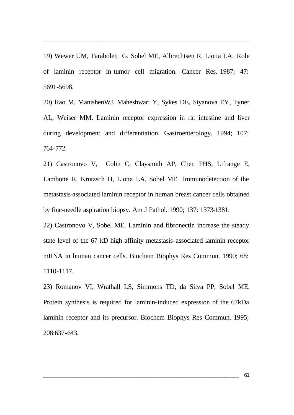19) Wewer UM, Taraboletti G, Sobel ME, Albrechtsen R, Liotta LA. Role of laminin receptor in tumor cell migration. Cancer Res. 1987; 47: 5691-5698.

\_\_\_\_\_\_\_\_\_\_\_\_\_\_\_\_\_\_\_\_\_\_\_\_\_\_\_\_\_\_\_\_\_\_\_\_\_\_\_\_\_\_\_\_\_\_\_\_\_\_\_\_\_\_\_\_\_\_\_\_\_\_\_\_

20) Rao M, ManishenWJ, Maheshwari Y, Sykes DE, Siyanova EY, Tyner AL, Weiser MM. Laminin receptor expression in rat intestine and liver during development and differentiation. Gastroenterology. 1994; 107: 764-772.

21) Castronovo V, Colin C, Claysmith AP, Chen PHS, Lifrange E, Lambotte R, Krutzsch H, Liotta LA, Sobel ME. Immunodetection of the metastasis-associated laminin receptor in human breast cancer cells obtained by fine-needle aspiration biopsy. Am J Pathol. 1990; 137: 1373-1381.

22) Castronovo V, Sobel ME. Laminin and fibronectin increase the steady state level of the 67 kD high affinity metastasis-associated laminin receptor mRNA in human cancer cells. Biochem Biophys Res Commun. 1990; 68: 1110-1117.

23) Romanov VI, Wrathall LS, Simmons TD, da Silva PP, Sobel ME. Protein synthesis is required for laminin-induced expression of the 67kDa laminin receptor and its precursor. Biochem Biophys Res Commun. 1995; 208:637-643.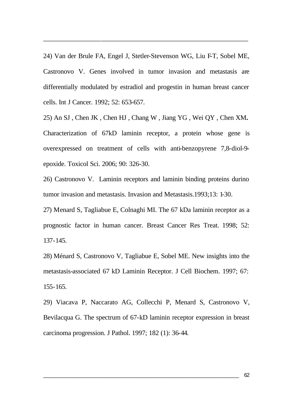24) Van der Brule FA, Engel J, Stetler-Stevenson WG, Liu FT, Sobel ME, Castronovo V. Genes involved in tumor invasion and metastasis are differentially modulated by estradiol and progestin in human breast cancer cells. Int J Cancer. 1992; 52: 653-657.

\_\_\_\_\_\_\_\_\_\_\_\_\_\_\_\_\_\_\_\_\_\_\_\_\_\_\_\_\_\_\_\_\_\_\_\_\_\_\_\_\_\_\_\_\_\_\_\_\_\_\_\_\_\_\_\_\_\_\_\_\_\_\_\_

25) An SJ , Chen JK , Chen HJ , Chang W , Jiang YG , Wei QY , Chen XM**.** Characterization of 67kD laminin receptor, a protein whose gene is overexpressed on treatment of cells with anti-benzopyrene 7,8-diol-9 epoxide. Toxicol Sci. 2006; 90: 326-30.

26) Castronovo V. Laminin receptors and laminin binding proteins durino tumor invasion and metastasis. Invasion and Metastasis.1993;13: 1-30.

27) Menard S, Tagliabue E, Colnaghi MI. The 67 kDa laminin receptor as a prognostic factor in human cancer. Breast Cancer Res Treat. 1998; 52: 137-145.

28) Ménard S, Castronovo V, Tagliabue E, Sobel ME. New insights into the metastasis-associated 67 kD Laminin Receptor. J Cell Biochem. 1997; 67: 155-165.

29) Viacava P, Naccarato AG, Collecchi P, Menard S, Castronovo V, Bevilacqua G. The spectrum of 67-kD laminin receptor expression in breast carcinoma progression. J Pathol. 1997; 182 (1): 36-44.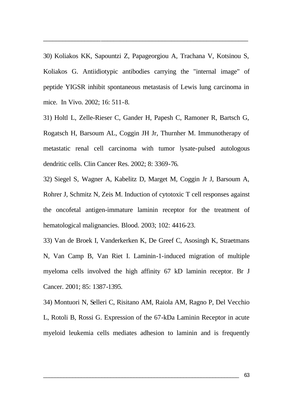30) Koliakos KK, Sapountzi Z, Papageorgiou A, Trachana V, Kotsinou S, Koliakos G. Antiidiotypic antibodies carrying the "internal image" of peptide YIGSR inhibit spontaneous metastasis of Lewis lung carcinoma in mice. In Vivo. 2002; 16: 511-8.

\_\_\_\_\_\_\_\_\_\_\_\_\_\_\_\_\_\_\_\_\_\_\_\_\_\_\_\_\_\_\_\_\_\_\_\_\_\_\_\_\_\_\_\_\_\_\_\_\_\_\_\_\_\_\_\_\_\_\_\_\_\_\_\_

31) Holtl L, Zelle-Rieser C, Gander H, Papesh C, Ramoner R, Bartsch G, Rogatsch H, Barsoum AL, Coggin JH Jr, Thurnher M. Immunotherapy of metastatic renal cell carcinoma with tumor lysate-pulsed autologous dendritic cells. Clin Cancer Res. 2002; 8: 3369-76.

32) Siegel S, Wagner A, Kabelitz D, Marget M, Coggin Jr J, Barsoum A, Rohrer J, Schmitz N, Zeis M. Induction of cytotoxic T cell responses against the oncofetal antigen-immature laminin receptor for the treatment of hematological malignancies. Blood. 2003; 102: 4416-23.

33) Van de Broek I, Vanderkerken K, De Greef C, Asosingh K, Straetmans N, Van Camp B, Van Riet I. Laminin-1-induced migration of multiple myeloma cells involved the high affinity 67 kD laminin receptor. Br J Cancer. 2001; 85: 1387-1395.

34) Montuori N, Selleri C, Risitano AM, Raiola AM, Ragno P, Del Vecchio L, Rotoli B, Rossi G. Expression of the 67-kDa Laminin Receptor in acute myeloid leukemia cells mediates adhesion to laminin and is frequently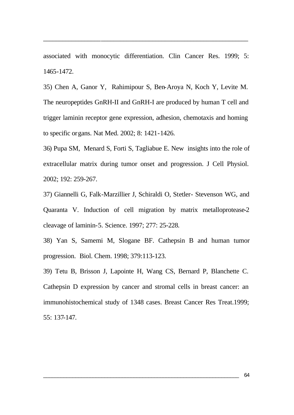associated with monocytic differentiation. Clin Cancer Res. 1999; 5: 1465-1472.

\_\_\_\_\_\_\_\_\_\_\_\_\_\_\_\_\_\_\_\_\_\_\_\_\_\_\_\_\_\_\_\_\_\_\_\_\_\_\_\_\_\_\_\_\_\_\_\_\_\_\_\_\_\_\_\_\_\_\_\_\_\_\_\_

35) Chen A, Ganor Y, Rahimipour S, Ben-Aroya N, Koch Y, Levite M. The neuropeptides GnRH-II and GnRH-I are produced by human T cell and trigger laminin receptor gene expression, adhesion, chemotaxis and homing to specific organs. Nat Med. 2002; 8: 1421-1426.

36) Pupa SM, Menard S, Forti S, Tagliabue E. New insights into the role of extracellular matrix during tumor onset and progression. J Cell Physiol. 2002; 192: 259-267.

37) Giannelli G, Falk-Marzillier J, Schiraldi O, Stetler- Stevenson WG, and Quaranta V. Induction of cell migration by matrix metalloprotease-2 cleavage of laminin-5. Science. 1997; 277: 25-228.

38) Yan S, Samemi M, Slogane BF. Cathepsin B and human tumor progression. Biol. Chem. 1998; 379:113-123.

39) Tetu B, Brisson J, Lapointe H, Wang CS, Bernard P, Blanchette C. Cathepsin D expression by cancer and stromal cells in breast cancer: an immunohistochemical study of 1348 cases. Breast Cancer Res Treat.1999; 55: 137-147.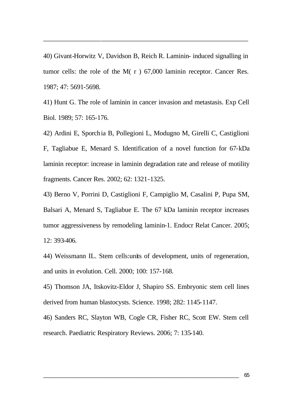40) Givant-Horwitz V, Davidson B, Reich R. Laminin- induced signalling in tumor cells: the role of the M( r ) 67,000 laminin receptor. Cancer Res. 1987; 47: 5691-5698.

\_\_\_\_\_\_\_\_\_\_\_\_\_\_\_\_\_\_\_\_\_\_\_\_\_\_\_\_\_\_\_\_\_\_\_\_\_\_\_\_\_\_\_\_\_\_\_\_\_\_\_\_\_\_\_\_\_\_\_\_\_\_\_\_

41) Hunt G. The role of laminin in cancer invasion and metastasis. Exp Cell Biol. 1989; 57: 165-176.

42) Ardini E, Sporchia B, Pollegioni L, Modugno M, Girelli C, Castiglioni F, Tagliabue E, Menard S. Identification of a novel function for 67-kDa laminin receptor: increase in laminin degradation rate and release of motility fragments. Cancer Res. 2002; 62: 1321-1325.

43) Berno V, Porrini D, Castiglioni F, Campiglio M, Casalini P, Pupa SM, Balsari A, Menard S, Tagliabue E. The 67 kDa laminin receptor increases tumor aggressiveness by remodeling laminin-1. Endocr Relat Cancer. 2005; 12: 393-406.

44) Weissmann IL. Stem cells:units of development, units of regeneration, and units in evolution. Cell. 2000; 100: 157-168.

45) Thomson JA, Itskovitz-Eldor J, Shapiro SS. Embryonic stem cell lines derived from human blastocysts. Science. 1998; 282: 1145-1147.

46) Sanders RC, Slayton WB, Cogle CR, Fisher RC, Scott EW. Stem cell research. Paediatric Respiratory Reviews. 2006; 7: 135-140.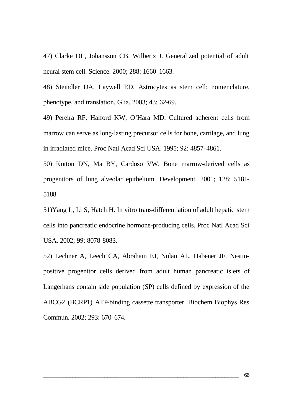47) Clarke DL, Johansson CB, Wilbertz J. Generalized potential of adult neural stem cell. Science. 2000; 288: 1660-1663.

\_\_\_\_\_\_\_\_\_\_\_\_\_\_\_\_\_\_\_\_\_\_\_\_\_\_\_\_\_\_\_\_\_\_\_\_\_\_\_\_\_\_\_\_\_\_\_\_\_\_\_\_\_\_\_\_\_\_\_\_\_\_\_\_

48) Steindler DA, Laywell ED. Astrocytes as stem cell: nomenclature, phenotype, and translation. Glia. 2003; 43: 62-69.

49) Pereira RF, Halford KW, O'Hara MD. Cultured adherent cells from marrow can serve as long-lasting precursor cells for bone, cartilage, and lung in irradiated mice. Proc Natl Acad Sci USA. 1995; 92: 4857-4861.

50) Kotton DN, Ma BY, Cardoso VW. Bone marrow-derived cells as progenitors of lung alveolar epithelium. Development. 2001; 128: 5181- 5188.

51)Yang L, Li S, Hatch H. In vitro trans-differentiation of adult hepatic stem cells into pancreatic endocrine hormone-producing cells. Proc Natl Acad Sci USA. 2002; 99: 8078-8083.

52) Lechner A, Leech CA, Abraham EJ, Nolan AL, Habener JF. Nestinpositive progenitor cells derived from adult human pancreatic islets of Langerhans contain side population (SP) cells defined by expression of the ABCG2 (BCRP1) ATP-binding cassette transporter. Biochem Biophys Res Commun. 2002; 293: 670-674.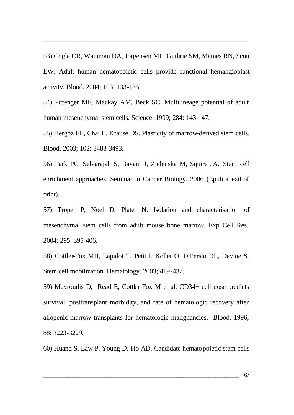53) Cogle CR, Wainman DA, Jorgensen ML, Guthrie SM, Mames RN, Scott EW. Adult human hematopoietic cells provide functional hemangioblast activity. Blood. 2004; 103: 133-135.

\_\_\_\_\_\_\_\_\_\_\_\_\_\_\_\_\_\_\_\_\_\_\_\_\_\_\_\_\_\_\_\_\_\_\_\_\_\_\_\_\_\_\_\_\_\_\_\_\_\_\_\_\_\_\_\_\_\_\_\_\_\_\_\_

54) Pittenger MF, Mackay AM, Beck SC. Multilineage potential of adult human mesenchymal stem cells. Science. 1999; 284: 143-147.

55) Hergoz EL, Chai L, Krause DS. Plasticity of marrow-derived stem cells. Blood. 2003; 102: 3483-3493.

56) Park PC, Selvarajah S, Bayani J, Zielenska M, Squire JA. Stem cell enrichment approaches. Seminar in Cancer Biology. 2006 (Epub ahead of print).

57) Tropel P, Noel D, Platet N. Isolation and characterisation of mesenchymal stem cells from adult mouse bone marrow. Exp Cell Res. 2004; 295: 395-406.

58) Cottler-Fox MH, Lapidot T, Petit I, Kollet O, DiPersio DL, Devine S. Stem cell mobilization. Hematology. 2003; 419-437.

59) Mavroudis D, Read E, Cottler-Fox M et al. CD34+ cell dose predicts survival, posttransplant morbidity, and rate of hematologic recovery after allogenic marrow transplants for hematologic malignancies. Blood. 1996; 88: 3223-3229.

60) Huang S, Law P, Young D, Ho AD. Candidate hematopoietic stem cells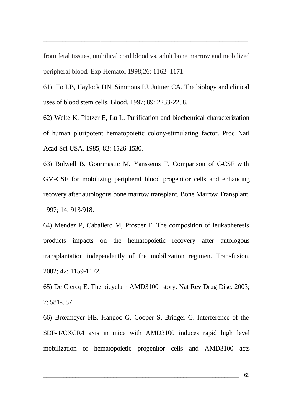from fetal tissues, umbilical cord blood vs. adult bone marrow and mobilized peripheral blood. Exp Hematol 1998;26: 1162–1171.

\_\_\_\_\_\_\_\_\_\_\_\_\_\_\_\_\_\_\_\_\_\_\_\_\_\_\_\_\_\_\_\_\_\_\_\_\_\_\_\_\_\_\_\_\_\_\_\_\_\_\_\_\_\_\_\_\_\_\_\_\_\_\_\_

61) To LB, Haylock DN, Simmons PJ, Juttner CA. The biology and clinical uses of blood stem cells. Blood. 1997; 89: 2233-2258.

62) Welte K, Platzer E, Lu L. Purification and biochemical characterization of human pluripotent hematopoietic colony-stimulating factor. Proc Natl Acad Sci USA. 1985; 82: 1526-1530.

63) Bolwell B, Goormastic M, Yanssems T. Comparison of G-CSF with GM-CSF for mobilizing peripheral blood progenitor cells and enhancing recovery after autologous bone marrow transplant. Bone Marrow Transplant. 1997; 14: 913-918.

64) Mendez P, Caballero M, Prosper F. The composition of leukapheresis products impacts on the hematopoietic recovery after autologous transplantation independently of the mobilization regimen. Transfusion. 2002; 42: 1159-1172.

65) De Clercq E. The bicyclam AMD3100 story. Nat Rev Drug Disc. 2003; 7: 581-587.

66) Broxmeyer HE, Hangoc G, Cooper S, Bridger G. Interference of the SDF-1/CXCR4 axis in mice with AMD3100 induces rapid high level mobilization of hematopoietic progenitor cells and AMD3100 acts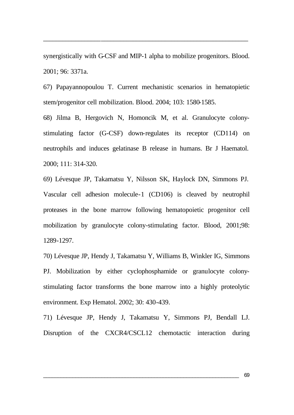synergistically with G-CSF and MIP-1 alpha to mobilize progenitors. Blood. 2001; 96: 3371a.

\_\_\_\_\_\_\_\_\_\_\_\_\_\_\_\_\_\_\_\_\_\_\_\_\_\_\_\_\_\_\_\_\_\_\_\_\_\_\_\_\_\_\_\_\_\_\_\_\_\_\_\_\_\_\_\_\_\_\_\_\_\_\_\_

67) Papayannopoulou T. Current mechanistic scenarios in hematopietic stem/progenitor cell mobilization. Blood. 2004; 103: 1580-1585.

68) Jilma B, Hergovich N, Homoncik M, et al. Granulocyte colonystimulating factor (G-CSF) down-regulates its receptor (CD114) on neutrophils and induces gelatinase B release in humans. Br J Haematol. 2000; 111: 314-320.

69) Lévesque JP, Takamatsu Y, Nilsson SK, Haylock DN, Simmons PJ. Vascular cell adhesion molecule-1 (CD106) is cleaved by neutrophil proteases in the bone marrow following hematopoietic progenitor cell mobilization by granulocyte colony-stimulating factor. Blood, 2001;98: 1289-1297.

70) Lévesque JP, Hendy J, Takamatsu Y, Williams B, Winkler IG, Simmons PJ. Mobilization by either cyclophosphamide or granulocyte colonystimulating factor transforms the bone marrow into a highly proteolytic environment. Exp Hematol. 2002; 30: 430-439.

71) Lévesque JP, Hendy J, Takamatsu Y, Simmons PJ, Bendall LJ. Disruption of the CXCR4/CSCL12 chemotactic interaction during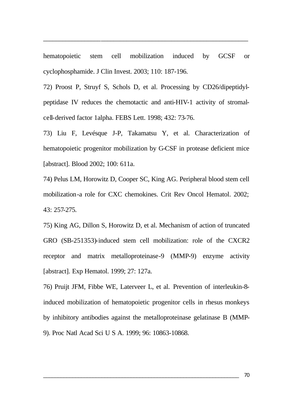hematopoietic stem cell mobilization induced by GCSF or cyclophosphamide. J Clin Invest. 2003; 110: 187-196.

\_\_\_\_\_\_\_\_\_\_\_\_\_\_\_\_\_\_\_\_\_\_\_\_\_\_\_\_\_\_\_\_\_\_\_\_\_\_\_\_\_\_\_\_\_\_\_\_\_\_\_\_\_\_\_\_\_\_\_\_\_\_\_\_

72) Proost P, Struyf S, Schols D, et al. Processing by CD26/dipeptidylpeptidase IV reduces the chemotactic and anti-HIV-1 activity of stromalcell-derived factor 1alpha. FEBS Lett. 1998; 432: 73-76.

73) Liu F, Levésque J-P, Takamatsu Y, et al. Characterization of hematopoietic progenitor mobilization by G-CSF in protease deficient mice [abstract]. Blood 2002; 100: 611a.

74) Pelus LM, Horowitz D, Cooper SC, King AG. Peripheral blood stem cell mobilization-a role for CXC chemokines. Crit Rev Oncol Hematol. 2002; 43: 257-275.

75) King AG, Dillon S, Horowitz D, et al. Mechanism of action of truncated GRO (SB-251353)-induced stem cell mobilization: role of the CXCR2 receptor and matrix metalloproteinase-9 (MMP-9) enzyme activity [abstract]. Exp Hematol. 1999; 27: 127a.

76) Pruijt JFM, Fibbe WE, Laterveer L, et al. Prevention of interleukin-8 induced mobilization of hematopoietic progenitor cells in rhesus monkeys by inhibitory antibodies against the metalloproteinase gelatinase B (MMP-9). Proc Natl Acad Sci U S A. 1999; 96: 10863-10868.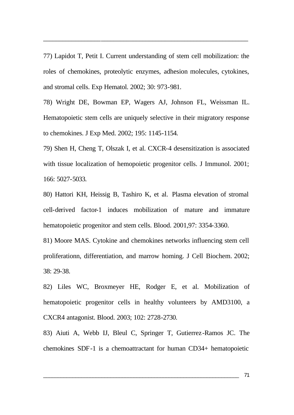77) Lapidot T, Petit I. Current understanding of stem cell mobilization: the roles of chemokines, proteolytic enzymes, adhesion molecules, cytokines, and stromal cells. Exp Hematol. 2002; 30: 973-981.

\_\_\_\_\_\_\_\_\_\_\_\_\_\_\_\_\_\_\_\_\_\_\_\_\_\_\_\_\_\_\_\_\_\_\_\_\_\_\_\_\_\_\_\_\_\_\_\_\_\_\_\_\_\_\_\_\_\_\_\_\_\_\_\_

78) Wright DE, Bowman EP, Wagers AJ, Johnson FL, Weissman IL. Hematopoietic stem cells are uniquely selective in their migratory response to chemokines. J Exp Med. 2002; 195: 1145-1154.

79) Shen H, Cheng T, Olszak I, et al. CXCR-4 desensitization is associated with tissue localization of hemopoietic progenitor cells. J Immunol. 2001; 166: 5027-5033.

80) Hattori KH, Heissig B, Tashiro K, et al. Plasma elevation of stromal cell-derived factor-1 induces mobilization of mature and immature hematopoietic progenitor and stem cells. Blood. 2001,97: 3354-3360.

81) Moore MAS. Cytokine and chemokines networks influencing stem cell proliferationn, differentiation, and marrow homing. J Cell Biochem. 2002; 38: 29-38.

82) Liles WC, Broxmeyer HE, Rodger E, et al. Mobilization of hematopoietic progenitor cells in healthy volunteers by AMD3100, a CXCR4 antagonist. Blood. 2003; 102: 2728-2730.

83) Aiuti A, Webb IJ, Bleul C, Springer T, Gutierrez-Ramos JC. The chemokines SDF-1 is a chemoattractant for human CD34+ hematopoietic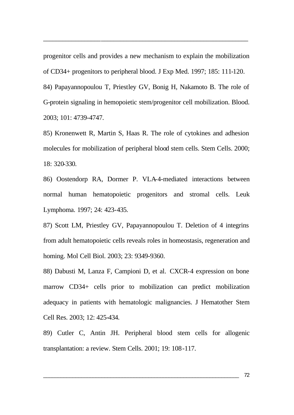progenitor cells and provides a new mechanism to explain the mobilization of CD34+ progenitors to peripheral blood. J Exp Med. 1997; 185: 111-120.

\_\_\_\_\_\_\_\_\_\_\_\_\_\_\_\_\_\_\_\_\_\_\_\_\_\_\_\_\_\_\_\_\_\_\_\_\_\_\_\_\_\_\_\_\_\_\_\_\_\_\_\_\_\_\_\_\_\_\_\_\_\_\_\_

84) Papayannopoulou T, Priestley GV, Bonig H, Nakamoto B. The role of G-protein signaling in hemopoietic stem/progenitor cell mobilization. Blood. 2003; 101: 4739-4747.

85) Kronenwett R, Martin S, Haas R. The role of cytokines and adhesion molecules for mobilization of peripheral blood stem cells. Stem Cells. 2000; 18: 320-330.

86) Oostendorp RA, Dormer P. VLA-4-mediated interactions between normal human hematopoietic progenitors and stromal cells. Leuk Lymphoma. 1997; 24: 423-435.

87) Scott LM, Priestley GV, Papayannopoulou T. Deletion of 4 integrins from adult hematopoietic cells reveals roles in homeostasis, regeneration and homing. Mol Cell Biol. 2003; 23: 9349-9360.

88) Dabusti M, Lanza F, Campioni D, et al. CXCR-4 expression on bone marrow CD34+ cells prior to mobilization can predict mobilization adequacy in patients with hematologic malignancies. J Hematother Stem Cell Res. 2003; 12: 425-434.

89) Cutler C, Antin JH. Peripheral blood stem cells for allogenic transplantation: a review. Stem Cells. 2001; 19: 108-117.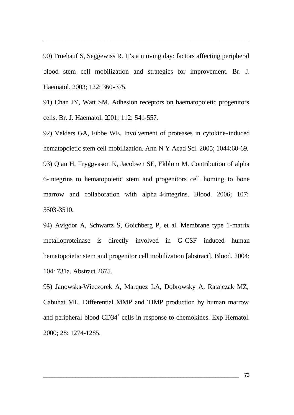90) Fruehauf S, Seggewiss R. It's a moving day: factors affecting peripheral blood stem cell mobilization and strategies for improvement. Br. J. Haematol. 2003; 122: 360-375.

\_\_\_\_\_\_\_\_\_\_\_\_\_\_\_\_\_\_\_\_\_\_\_\_\_\_\_\_\_\_\_\_\_\_\_\_\_\_\_\_\_\_\_\_\_\_\_\_\_\_\_\_\_\_\_\_\_\_\_\_\_\_\_\_

91) Chan JY, Watt SM. Adhesion receptors on haematopoietic progenitors cells. Br. J. Haematol. 2001; 112: 541-557.

92) Velders GA, Fibbe WE. Involvement of proteases in cytokine-induced hematopoietic stem cell mobilization. Ann N Y Acad Sci. 2005; 1044:60-69. 93) Qian H, Tryggvason K, Jacobsen SE, Ekblom M. Contribution of alpha 6-integrins to hematopoietic stem and progenitors cell homing to bone marrow and collaboration with alpha 4-integrins. Blood. 2006; 107: 3503-3510.

94) Avigdor A, Schwartz S, Goichberg P, et al. Membrane type 1-matrix metalloproteinase is directly involved in G-CSF induced human hematopoietic stem and progenitor cell mobilization [abstract]. Blood. 2004; 104: 731a. Abstract 2675.

95) Janowska-Wieczorek A, Marquez LA, Dobrowsky A, Ratajczak MZ, Cabuhat ML. Differential MMP and TIMP production by human marrow and peripheral blood CD34<sup>+</sup> cells in response to chemokines. Exp Hematol. 2000; 28: 1274-1285.

\_\_\_\_\_\_\_\_\_\_\_\_\_\_\_\_\_\_\_\_\_\_\_\_\_\_\_\_\_\_\_\_\_\_\_\_\_\_\_\_\_\_\_\_\_\_\_\_\_\_\_\_\_\_\_\_\_\_\_\_\_\_\_\_\_\_\_ 73